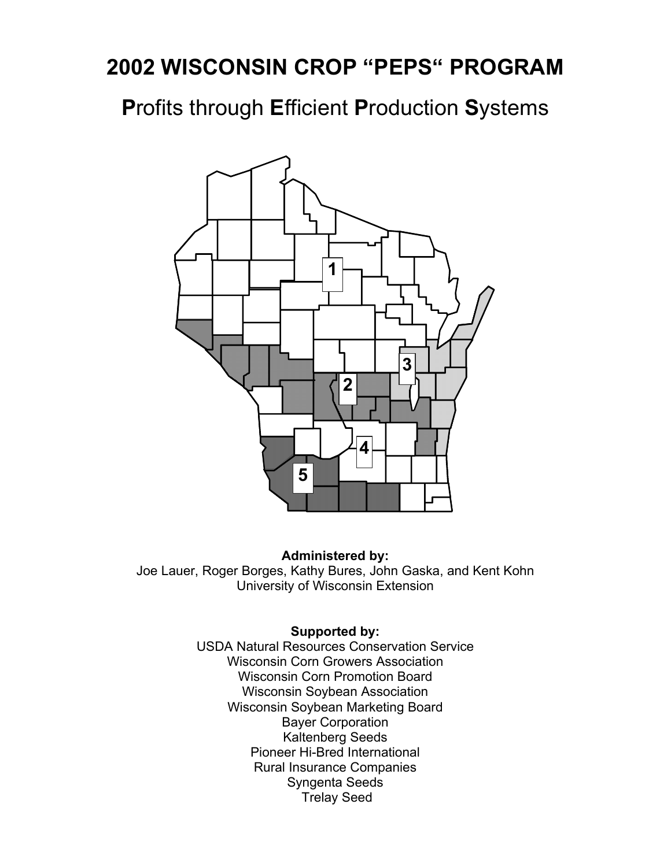**P**rofits through **E**fficient **P**roduction **S**ystems



#### **Administered by:**

Joe Lauer, Roger Borges, Kathy Bures, John Gaska, and Kent Kohn University of Wisconsin Extension

#### **Supported by:**

USDA Natural Resources Conservation Service Wisconsin Corn Growers Association Wisconsin Corn Promotion Board Wisconsin Soybean Association Wisconsin Soybean Marketing Board Bayer Corporation Kaltenberg Seeds Pioneer Hi-Bred International Rural Insurance Companies Syngenta Seeds Trelay Seed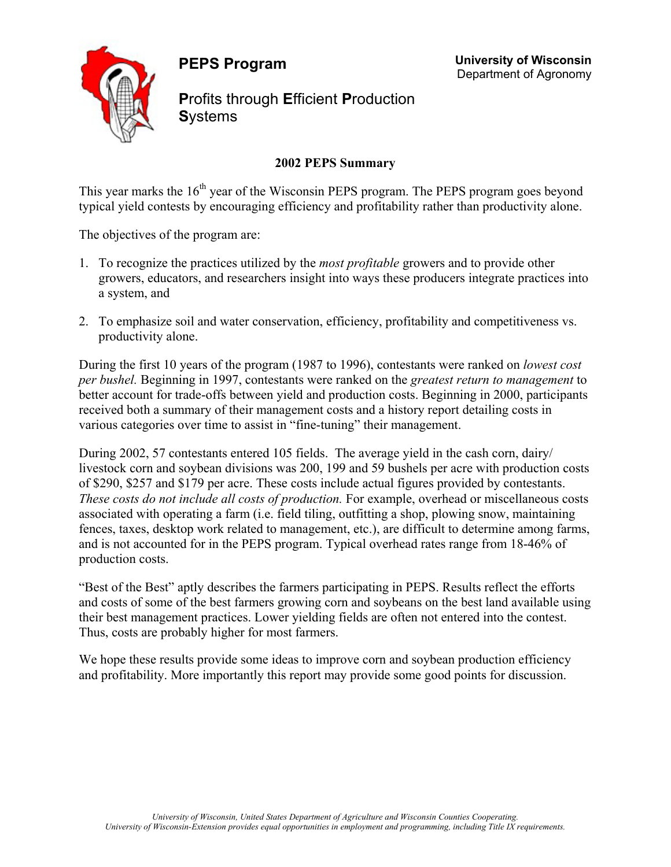**PEPS Program** 



**P**rofits through **E**fficient **P**roduction **S**ystems

### **2002 PEPS Summary**

 **University of Wisconsin** Department of Agronomy

This year marks the  $16<sup>th</sup>$  year of the Wisconsin PEPS program. The PEPS program goes beyond typical yield contests by encouraging efficiency and profitability rather than productivity alone.

The objectives of the program are:

- 1. To recognize the practices utilized by the *most profitable* growers and to provide other growers, educators, and researchers insight into ways these producers integrate practices into a system, and
- 2. To emphasize soil and water conservation, efficiency, profitability and competitiveness vs. productivity alone.

During the first 10 years of the program (1987 to 1996), contestants were ranked on *lowest cost per bushel.* Beginning in 1997, contestants were ranked on the *greatest return to management* to better account for trade-offs between yield and production costs. Beginning in 2000, participants received both a summary of their management costs and a history report detailing costs in various categories over time to assist in "fine-tuning" their management.

During 2002, 57 contestants entered 105 fields. The average yield in the cash corn, dairy/ livestock corn and soybean divisions was 200, 199 and 59 bushels per acre with production costs of \$290, \$257 and \$179 per acre. These costs include actual figures provided by contestants. *These costs do not include all costs of production.* For example, overhead or miscellaneous costs associated with operating a farm (i.e. field tiling, outfitting a shop, plowing snow, maintaining fences, taxes, desktop work related to management, etc.), are difficult to determine among farms, and is not accounted for in the PEPS program. Typical overhead rates range from 18-46% of production costs.

"Best of the Best" aptly describes the farmers participating in PEPS. Results reflect the efforts and costs of some of the best farmers growing corn and soybeans on the best land available using their best management practices. Lower yielding fields are often not entered into the contest. Thus, costs are probably higher for most farmers.

We hope these results provide some ideas to improve corn and soybean production efficiency and profitability. More importantly this report may provide some good points for discussion.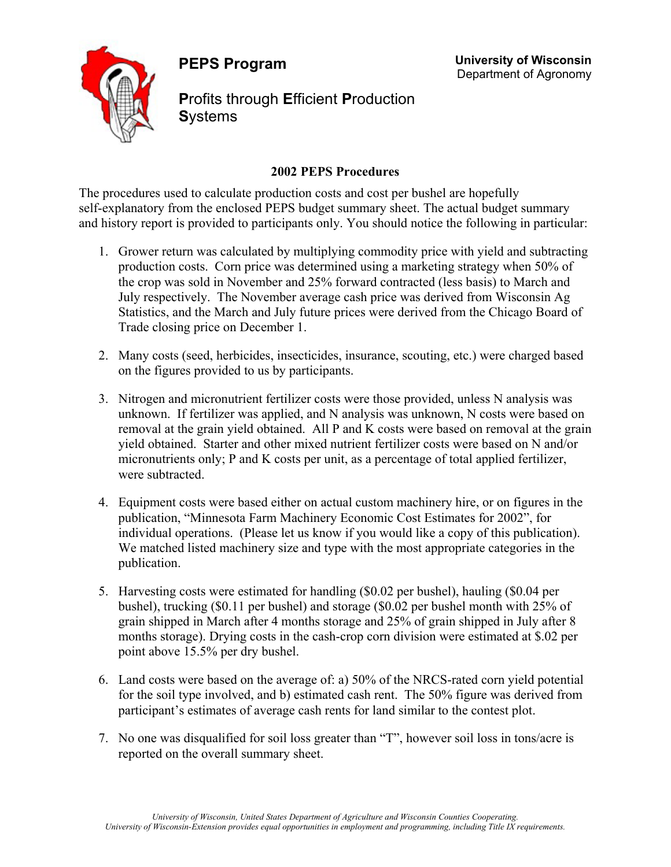**PEPS Program** 



**P**rofits through **E**fficient **P**roduction **S**ystems

 **University of Wisconsin** Department of Agronomy

#### **2002 PEPS Procedures**

The procedures used to calculate production costs and cost per bushel are hopefully self-explanatory from the enclosed PEPS budget summary sheet. The actual budget summary and history report is provided to participants only. You should notice the following in particular:

- 1. Grower return was calculated by multiplying commodity price with yield and subtracting production costs. Corn price was determined using a marketing strategy when 50% of the crop was sold in November and 25% forward contracted (less basis) to March and July respectively. The November average cash price was derived from Wisconsin Ag Statistics, and the March and July future prices were derived from the Chicago Board of Trade closing price on December 1.
- 2. Many costs (seed, herbicides, insecticides, insurance, scouting, etc.) were charged based on the figures provided to us by participants.
- 3. Nitrogen and micronutrient fertilizer costs were those provided, unless N analysis was unknown. If fertilizer was applied, and N analysis was unknown, N costs were based on removal at the grain yield obtained. All P and K costs were based on removal at the grain yield obtained. Starter and other mixed nutrient fertilizer costs were based on N and/or micronutrients only; P and K costs per unit, as a percentage of total applied fertilizer, were subtracted.
- 4. Equipment costs were based either on actual custom machinery hire, or on figures in the publication, "Minnesota Farm Machinery Economic Cost Estimates for 2002", for individual operations. (Please let us know if you would like a copy of this publication). We matched listed machinery size and type with the most appropriate categories in the publication.
- 5. Harvesting costs were estimated for handling (\$0.02 per bushel), hauling (\$0.04 per bushel), trucking (\$0.11 per bushel) and storage (\$0.02 per bushel month with 25% of grain shipped in March after 4 months storage and 25% of grain shipped in July after 8 months storage). Drying costs in the cash-crop corn division were estimated at \$.02 per point above 15.5% per dry bushel.
- 6. Land costs were based on the average of: a) 50% of the NRCS-rated corn yield potential for the soil type involved, and b) estimated cash rent. The 50% figure was derived from participant's estimates of average cash rents for land similar to the contest plot.
- 7. No one was disqualified for soil loss greater than "T", however soil loss in tons/acre is reported on the overall summary sheet.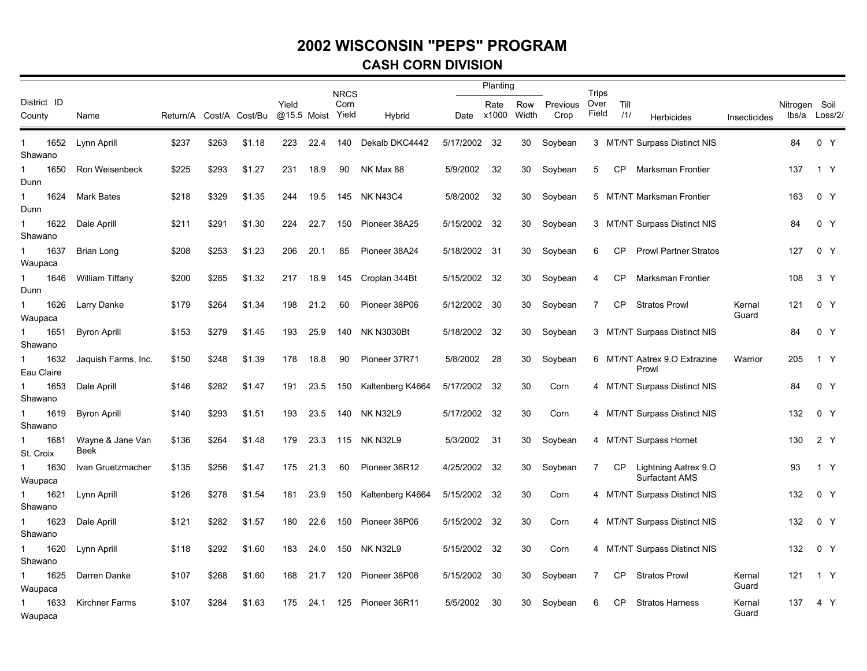#### **CASH CORN DIVISION**

|                                 |                          |       |       |                         |                      |      | <b>NRCS</b>   |                   |           | Planting           |              |                  | Trips         |             |                                               |                 |               |               |  |
|---------------------------------|--------------------------|-------|-------|-------------------------|----------------------|------|---------------|-------------------|-----------|--------------------|--------------|------------------|---------------|-------------|-----------------------------------------------|-----------------|---------------|---------------|--|
| District ID<br>County           | Name                     |       |       | Return/A Cost/A Cost/Bu | Yield<br>@15.5 Moist |      | Corn<br>Yield | Hybrid            |           | Rate<br>Date x1000 | Row<br>Width | Previous<br>Crop | Over<br>Field | Till<br>111 | Herbicides                                    | Insecticides    | Nitrogen Soil | lbs/a Loss/2/ |  |
| 1652<br>1<br>Shawano            | Lynn Aprill              | \$237 | \$263 | \$1.18                  | 223                  | 22.4 | 140           | Dekalb DKC4442    | 5/17/2002 | 32                 | 30           | Soybean          |               |             | 3 MT/NT Surpass Distinct NIS                  |                 | 84            | 0 Y           |  |
| 1650<br>Dunn                    | Ron Weisenbeck           | \$225 | \$293 | \$1.27                  | 231                  | 18.9 | 90            | NK Max 88         | 5/9/2002  | 32                 | 30           | Soybean          | 5             | <b>CP</b>   | Marksman Frontier                             |                 | 137           | 1 Y           |  |
| 1624<br>1<br>Dunn               | <b>Mark Bates</b>        | \$218 | \$329 | \$1.35                  | 244                  | 19.5 | 145           | NK N43C4          | 5/8/2002  | 32                 | 30           | Soybean          | 5             |             | MT/NT Marksman Frontier                       |                 | 163           | 0 Y           |  |
| 1622<br>$\mathbf{1}$<br>Shawano | Dale Aprill              | \$211 | \$291 | \$1.30                  | 224                  | 22.7 | 150           | Pioneer 38A25     | 5/15/2002 | 32                 | 30           | Soybean          |               |             | 3 MT/NT Surpass Distinct NIS                  |                 | 84            | 0 Y           |  |
| 1637<br>1<br>Waupaca            | Brian Long               | \$208 | \$253 | \$1.23                  | 206                  | 20.1 | 85            | Pioneer 38A24     | 5/18/2002 | -31                | 30           | Soybean          | 6             | СP          | <b>Prowl Partner Stratos</b>                  |                 | 127           | 0 Y           |  |
| 1<br>1646<br>Dunn               | <b>William Tiffany</b>   | \$200 | \$285 | \$1.32                  | 217                  | 18.9 | 145           | Croplan 344Bt     | 5/15/2002 | 32                 | 30           | Soybean          | 4             | <b>CP</b>   | Marksman Frontier                             |                 | 108           | 3 Y           |  |
| 1626<br>1<br>Waupaca            | Larry Danke              | \$179 | \$264 | \$1.34                  | 198                  | 21.2 | 60            | Pioneer 38P06     | 5/12/2002 | 30                 | 30           | Soybean          | 7             | CP          | <b>Stratos Prowl</b>                          | Kernal<br>Guard | 121           | 0 Y           |  |
| 1651<br>1<br>Shawano            | <b>Byron Aprill</b>      | \$153 | \$279 | \$1.45                  | 193                  | 25.9 | 140           | <b>NK N3030Bt</b> | 5/18/2002 | 32                 | 30           | Soybean          | 3             |             | <b>MT/NT Surpass Distinct NIS</b>             |                 | 84            | 0 Y           |  |
| 1632<br>Eau Claire              | Jaquish Farms, Inc.      | \$150 | \$248 | \$1.39                  | 178                  | 18.8 | 90            | Pioneer 37R71     | 5/8/2002  | 28                 | 30           | Soybean          | 6             |             | MT/NT Aatrex 9.O Extrazine<br>Prowl           | Warrior         | 205           | 1 Y           |  |
| 1653<br>Shawano                 | Dale Aprill              | \$146 | \$282 | \$1.47                  | 191                  | 23.5 | 150           | Kaltenberg K4664  | 5/17/2002 | 32                 | 30           | Corn             |               |             | 4 MT/NT Surpass Distinct NIS                  |                 | 84            | 0 Y           |  |
| 1619<br>Shawano                 | <b>Byron Aprill</b>      | \$140 | \$293 | \$1.51                  | 193                  | 23.5 | 140           | <b>NK N32L9</b>   | 5/17/2002 | 32                 | 30           | Corn             |               |             | 4 MT/NT Surpass Distinct NIS                  |                 | 132           | 0 Y           |  |
| 1681<br>St. Croix               | Wayne & Jane Van<br>Beek | \$136 | \$264 | \$1.48                  | 179                  | 23.3 | 115           | NK N32L9          | 5/3/2002  | 31                 | 30           | Soybean          |               |             | 4 MT/NT Surpass Hornet                        |                 | 130           | 2 Y           |  |
| 1630<br>1<br>Waupaca            | Ivan Gruetzmacher        | \$135 | \$256 | \$1.47                  | 175                  | 21.3 | 60            | Pioneer 36R12     | 4/25/2002 | 32                 | 30           | Soybean          | 7             | СP          | Lightning Aatrex 9.O<br><b>Surfactant AMS</b> |                 | 93            | 1 Y           |  |
| 1621<br>1<br>Shawano            | Lynn Aprill              | \$126 | \$278 | \$1.54                  | 181                  | 23.9 | 150           | Kaltenberg K4664  | 5/15/2002 | 32                 | 30           | Corn             |               |             | 4 MT/NT Surpass Distinct NIS                  |                 | 132           | 0 Y           |  |
| 1623<br>1<br>Shawano            | Dale Aprill              | \$121 | \$282 | \$1.57                  | 180                  | 22.6 | 150           | Pioneer 38P06     | 5/15/2002 | 32                 | 30           | Corn             |               |             | 4 MT/NT Surpass Distinct NIS                  |                 | 132           | 0 Y           |  |
| 1620<br>1<br>Shawano            | Lynn Aprill              | \$118 | \$292 | \$1.60                  | 183                  | 24.0 | 150           | <b>NK N32L9</b>   | 5/15/2002 | 32                 | 30           | Corn             | 4             |             | <b>MT/NT Surpass Distinct NIS</b>             |                 | 132           | 0 Y           |  |
| 1625<br>1<br>Waupaca            | Darren Danke             | \$107 | \$268 | \$1.60                  | 168                  | 21.7 | 120           | Pioneer 38P06     | 5/15/2002 | 30                 | 30           | Soybean          | 7             | <b>CP</b>   | <b>Stratos Prowl</b>                          | Kernal<br>Guard | 121           | 1 Y           |  |
| 1633<br>Waupaca                 | <b>Kirchner Farms</b>    | \$107 | \$284 | \$1.63                  | 175                  | 24.1 | 125           | Pioneer 36R11     | 5/5/2002  | 30                 | 30           | Soybean          | 6             | <b>CP</b>   | <b>Stratos Harness</b>                        | Kernal<br>Guard | 137           | 4 Y           |  |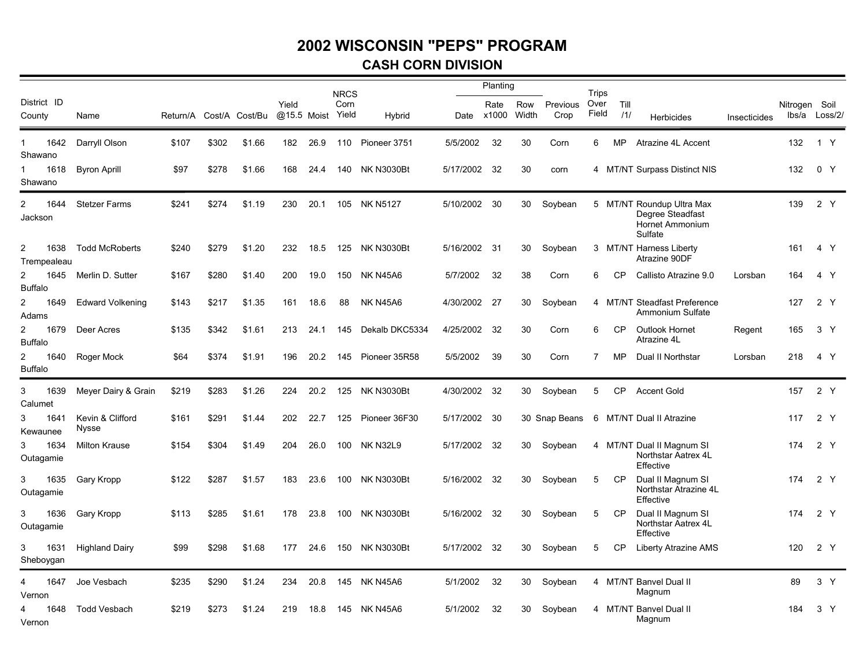#### **CASH CORN DIVISION**

|                             |                           |          |       |                |       |             | <b>NRCS</b>   |                   |           | Planting           |              |                  | Trips         |             |                                                                             |              |               |                |
|-----------------------------|---------------------------|----------|-------|----------------|-------|-------------|---------------|-------------------|-----------|--------------------|--------------|------------------|---------------|-------------|-----------------------------------------------------------------------------|--------------|---------------|----------------|
| District ID<br>County       | Name                      | Return/A |       | Cost/A Cost/Bu | Yield | @15.5 Moist | Corn<br>Yield | Hybrid            |           | Rate<br>Date x1000 | Row<br>Width | Previous<br>Crop | Over<br>Field | Till<br>111 | <b>Herbicides</b>                                                           | Insecticides | Nitrogen Soil | Ibs/a Loss/2/  |
| 1642<br>Shawano             | Darryll Olson             | \$107    | \$302 | \$1.66         | 182   | 26.9        | 110           | Pioneer 3751      | 5/5/2002  | 32                 | 30           | Corn             | 6             | MP          | Atrazine 4L Accent                                                          |              | 132           | 1 Y            |
| 1618<br>Shawano             | <b>Byron Aprill</b>       | \$97     | \$278 | \$1.66         | 168   | 24.4        | 140           | <b>NK N3030Bt</b> | 5/17/2002 | 32                 | 30           | corn             |               |             | 4 MT/NT Surpass Distinct NIS                                                |              | 132           | 0 <sub>Y</sub> |
| 1644<br>2<br>Jackson        | <b>Stetzer Farms</b>      | \$241    | \$274 | \$1.19         | 230   | 20.1        |               | 105 NK N5127      | 5/10/2002 | 30                 | 30           | Soybean          |               |             | 5 MT/NT Roundup Ultra Max<br>Degree Steadfast<br>Hornet Ammonium<br>Sulfate |              | 139           | 2 Y            |
| 2<br>1638<br>Trempealeau    | <b>Todd McRoberts</b>     | \$240    | \$279 | \$1.20         | 232   | 18.5        | 125           | NK N3030Bt        | 5/16/2002 | - 31               | 30           | Soybean          |               |             | 3 MT/NT Harness Liberty<br>Atrazine 90DF                                    |              | 161           | 4 Y            |
| 2<br>1645<br><b>Buffalo</b> | Merlin D. Sutter          | \$167    | \$280 | \$1.40         | 200   | 19.0        | 150           | NK N45A6          | 5/7/2002  | 32                 | 38           | Corn             | 6             | <b>CP</b>   | Callisto Atrazine 9.0                                                       | Lorsban      | 164           | 4 Y            |
| 2<br>1649<br>Adams          | <b>Edward Volkening</b>   | \$143    | \$217 | \$1.35         | 161   | 18.6        | 88            | <b>NK N45A6</b>   | 4/30/2002 | 27                 | 30           | Soybean          | 4             |             | <b>MT/NT Steadfast Preference</b><br>Ammonium Sulfate                       |              | 127           | 2Y             |
| 2<br>1679<br><b>Buffalo</b> | Deer Acres                | \$135    | \$342 | \$1.61         | 213   | 24.1        | 145           | Dekalb DKC5334    | 4/25/2002 | 32                 | 30           | Corn             | 6             | <b>CP</b>   | Outlook Hornet<br>Atrazine 4L                                               | Regent       | 165           | 3 <sup>7</sup> |
| 2<br>1640<br><b>Buffalo</b> | Roger Mock                | \$64     | \$374 | \$1.91         | 196   | 20.2        | 145           | Pioneer 35R58     | 5/5/2002  | 39                 | 30           | Corn             | 7             | MP          | Dual II Northstar                                                           | Lorsban      | 218           | 4 Y            |
| 1639<br>3<br>Calumet        | Meyer Dairy & Grain       | \$219    | \$283 | \$1.26         | 224   | 20.2        | 125           | <b>NK N3030Bt</b> | 4/30/2002 | 32                 | 30           | Soybean          | 5             | <b>CP</b>   | <b>Accent Gold</b>                                                          |              | 157           | 2 Y            |
| 1641<br>3<br>Kewaunee       | Kevin & Clifford<br>Nysse | \$161    | \$291 | \$1.44         | 202   | 22.7        | 125           | Pioneer 36F30     | 5/17/2002 | -30                |              | 30 Snap Beans    | 6             |             | MT/NT Dual II Atrazine                                                      |              | 117           | 2 Y            |
| 1634<br>3<br>Outagamie      | <b>Milton Krause</b>      | \$154    | \$304 | \$1.49         | 204   | 26.0        | 100           | <b>NK N32L9</b>   | 5/17/2002 | 32                 | 30           | Soybean          |               |             | 4 MT/NT Dual II Magnum SI<br>Northstar Aatrex 4L<br>Effective               |              | 174           | 2 Y            |
| 3<br>1635<br>Outagamie      | Gary Kropp                | \$122    | \$287 | \$1.57         | 183   | 23.6        | 100           | <b>NK N3030Bt</b> | 5/16/2002 | -32                | 30           | Soybean          | 5             | <b>CP</b>   | Dual II Magnum SI<br>Northstar Atrazine 4L<br>Effective                     |              | 174           | 2 Y            |
| 3<br>1636<br>Outagamie      | Gary Kropp                | \$113    | \$285 | \$1.61         | 178   | 23.8        | 100           | NK N3030Bt        | 5/16/2002 | - 32               | 30           | Soybean          | 5             | <b>CP</b>   | Dual II Magnum SI<br>Northstar Aatrex 4L<br>Effective                       |              | 174           | 2 Y            |
| 1631<br>3<br>Sheboygan      | <b>Highland Dairy</b>     | \$99     | \$298 | \$1.68         | 177   | 24.6        | 150           | <b>NK N3030Bt</b> | 5/17/2002 | 32                 | 30           | Soybean          | 5             | CP          | <b>Liberty Atrazine AMS</b>                                                 |              | 120           | 2 Y            |
| 1647<br>4<br>Vernon         | Joe Vesbach               | \$235    | \$290 | \$1.24         | 234   | 20.8        | 145           | NK N45A6          | 5/1/2002  | 32                 | 30           | Soybean          |               |             | 4 MT/NT Banvel Dual II<br>Magnum                                            |              | 89            | 3 Y            |
| 1648<br>4<br>Vernon         | <b>Todd Vesbach</b>       | \$219    | \$273 | \$1.24         | 219   | 18.8        | 145           | NK N45A6          | 5/1/2002  | 32                 | 30           | Soybean          |               |             | 4 MT/NT Banvel Dual II<br>Magnum                                            |              | 184           | 3 <sup>7</sup> |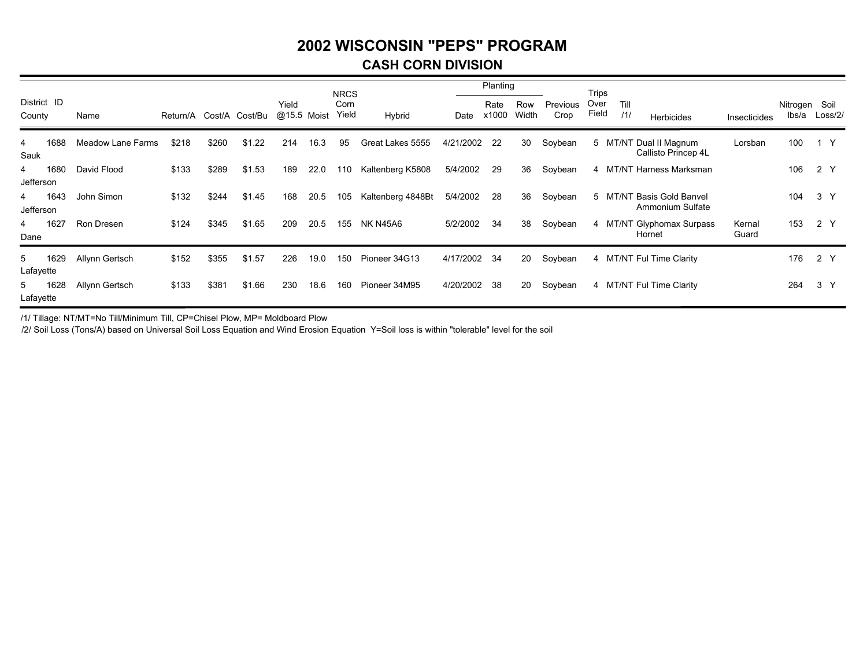#### **CASH CORN DIVISION**

|                |             |                          |          |       |                |                      |      | <b>NRCS</b>   |                   |           | Planting      |              |                  | Trips         |             |                                               |                 |                        |                |
|----------------|-------------|--------------------------|----------|-------|----------------|----------------------|------|---------------|-------------------|-----------|---------------|--------------|------------------|---------------|-------------|-----------------------------------------------|-----------------|------------------------|----------------|
| County         | District ID | Name                     | Return/A |       | Cost/A Cost/Bu | Yield<br>@15.5 Moist |      | Corn<br>Yield | Hybrid            | Date      | Rate<br>x1000 | Row<br>Width | Previous<br>Crop | Over<br>Field | Till<br>/1/ | <b>Herbicides</b>                             | Insecticides    | Nitrogen Soil<br>lbs/a | Loss/2/        |
| 4<br>Sauk      | 1688        | <b>Meadow Lane Farms</b> | \$218    | \$260 | \$1.22         | 214                  | 16.3 | 95            | Great Lakes 5555  | 4/21/2002 | 22            | 30           | Soybean          |               |             | 5 MT/NT Dual II Magnum<br>Callisto Princep 4L | Lorsban         | 100                    | 1 Y            |
| 4<br>Jefferson | 1680        | David Flood              | \$133    | \$289 | \$1.53         | 189                  | 22.0 | 110           | Kaltenberg K5808  | 5/4/2002  | 29            | 36           | Soybean          |               |             | 4 MT/NT Harness Marksman                      |                 | 106                    | 2 Y            |
| 4<br>Jefferson | 1643        | John Simon               | \$132    | \$244 | \$1.45         | 168                  | 20.5 | 105           | Kaltenberg 4848Bt | 5/4/2002  | 28            | 36           | Soybean          |               | 5 MT/N      | <b>Basis Gold Banvel</b><br>Ammonium Sulfate  |                 | 104                    | 3 <sup>Y</sup> |
| 4<br>Dane      | 1627        | Ron Dresen               | \$124    | \$345 | \$1.65         | 209                  | 20.5 | 155           | <b>NK N45A6</b>   | 5/2/2002  | 34            | 38           | Soybean          |               |             | 4 MT/NT Glyphomax Surpass<br>Hornet           | Kernal<br>Guard | 153                    | 2 Y            |
| 5<br>Lafayette | 1629        | Allynn Gertsch           | \$152    | \$355 | \$1.57         | 226                  | 19.0 | 150           | Pioneer 34G13     | 4/17/2002 | -34           | 20           | Soybean          |               |             | 4 MT/NT Ful Time Clarity                      |                 | 176                    | 2 Y            |
| 5<br>Lafayette | 1628        | Allynn Gertsch           | \$133    | \$381 | \$1.66         | 230                  | 18.6 | 160           | Pioneer 34M95     | 4/20/2002 | 38            | 20           | Soybean          |               |             | 4 MT/NT Ful Time Clarity                      |                 | 264                    | 3 <sup>Y</sup> |

/1/ Tillage: NT/MT=No Till/Minimum Till, CP=Chisel Plow, MP= Moldboard Plow

/2/ Soil Loss (Tons/A) based on Universal Soil Loss Equation and Wind Erosion Equation Y=Soil loss is within "tolerable" level for the soil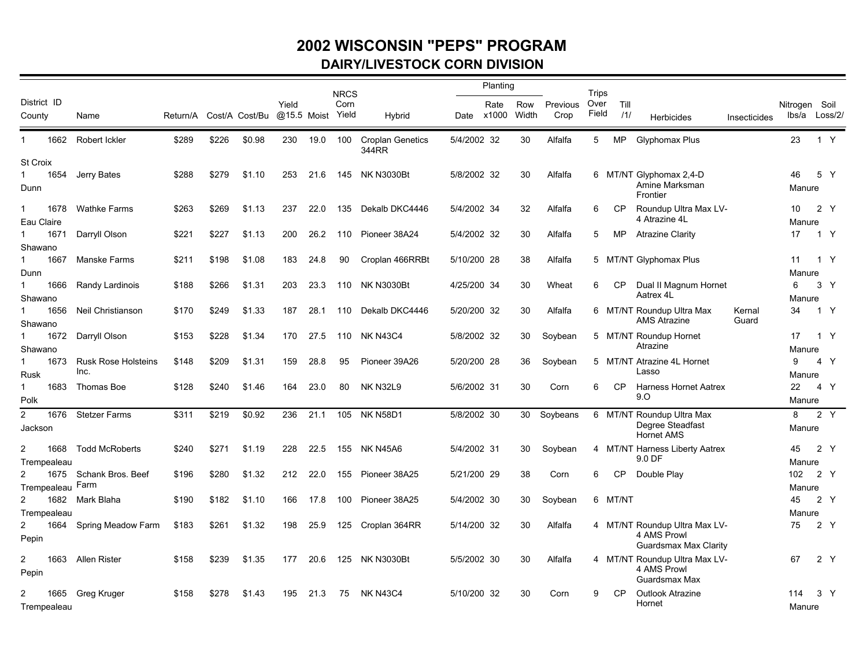### **2002 WISCONSIN "PEPS" PROGRAM DAIRY/LIVESTOCK CORN DIVISION**

|                        |                                    |       |       |                         |                      |      | <b>NRCS</b>   |                                  |             | Planting           |              |                  | Trips         |             |                                               |              |                        |                |  |
|------------------------|------------------------------------|-------|-------|-------------------------|----------------------|------|---------------|----------------------------------|-------------|--------------------|--------------|------------------|---------------|-------------|-----------------------------------------------|--------------|------------------------|----------------|--|
| District ID<br>County  | Name                               |       |       | Return/A Cost/A Cost/Bu | Yield<br>@15.5 Moist |      | Corn<br>Yield | Hybrid                           |             | Rate<br>Date x1000 | Row<br>Width | Previous<br>Crop | Over<br>Field | Till<br>/1/ | Herbicides                                    | Insecticides | Nitrogen Soil<br>lbs/a | Loss/2/        |  |
| 1662<br>1              | Robert Ickler                      | \$289 | \$226 | \$0.98                  | 230                  | 19.0 | 100           | <b>Croplan Genetics</b><br>344RR | 5/4/2002 32 |                    | 30           | Alfalfa          | 5             | MP          | Glyphomax Plus                                |              | 23                     | 1 Y            |  |
| <b>St Croix</b>        |                                    |       |       |                         |                      |      |               |                                  |             |                    |              |                  |               |             |                                               |              |                        |                |  |
| 1654<br>$\mathbf 1$    | Jerry Bates                        | \$288 | \$279 | \$1.10                  | 253                  | 21.6 |               | 145 NK N3030Bt                   | 5/8/2002 32 |                    | 30           | Alfalfa          |               |             | 6 MT/NT Glyphomax 2,4-D                       |              | 46                     | 5 Y            |  |
| Dunn                   |                                    |       |       |                         |                      |      |               |                                  |             |                    |              |                  |               |             | Amine Marksman<br>Frontier                    |              | Manure                 |                |  |
| 1<br>1678              | <b>Wathke Farms</b>                | \$263 | \$269 | \$1.13                  | 237                  | 22.0 | 135           | Dekalb DKC4446                   | 5/4/2002 34 |                    | 32           | Alfalfa          | 6             | CP          | Roundup Ultra Max LV-                         |              | 10                     | 2 Y            |  |
| Eau Claire             |                                    |       |       |                         |                      |      |               |                                  |             |                    |              |                  |               |             | 4 Atrazine 4L                                 |              | Manure                 |                |  |
| 1671<br>1              | Darryll Olson                      | \$221 | \$227 | \$1.13                  | 200                  | 26.2 | 110           | Pioneer 38A24                    | 5/4/2002 32 |                    | 30           | Alfalfa          | 5             | MP          | <b>Atrazine Clarity</b>                       |              | 17                     | 1 Y            |  |
| Shawano                |                                    |       |       |                         |                      |      |               |                                  |             |                    |              |                  |               |             |                                               |              |                        |                |  |
| 1667                   | <b>Manske Farms</b>                | \$211 | \$198 | \$1.08                  | 183                  | 24.8 | 90            | Croplan 466RRBt                  | 5/10/200 28 |                    | 38           | Alfalfa          |               |             | 5 MT/NT Glyphomax Plus                        |              | 11                     | 1 Y            |  |
| Dunn                   |                                    |       |       |                         |                      |      |               |                                  |             |                    |              |                  |               |             |                                               |              | Manure                 |                |  |
| 1666<br>1.             | Randy Lardinois                    | \$188 | \$266 | \$1.31                  | 203                  | 23.3 | 110           | NK N3030Bt                       | 4/25/200 34 |                    | 30           | Wheat            | 6             | CP          | Dual II Magnum Hornet                         |              | 6                      | 3 <sub>Y</sub> |  |
| Shawano                |                                    |       |       |                         |                      |      |               |                                  |             |                    |              |                  |               |             | Aatrex 4L                                     |              | Manure                 |                |  |
| 1656<br>1              | Neil Christianson                  | \$170 | \$249 | \$1.33                  | 187                  | 28.1 | 110           | Dekalb DKC4446                   | 5/20/200 32 |                    | 30           | Alfalfa          |               |             | 6 MT/NT Roundup Ultra Max                     | Kernal       | 34                     | 1 Y            |  |
| Shawano                |                                    |       |       |                         |                      |      |               |                                  |             |                    |              |                  |               |             | <b>AMS Atrazine</b>                           | Guard        |                        |                |  |
| 1672<br>1              | Darryll Olson                      | \$153 | \$228 | \$1.34                  | 170                  | 27.5 | 110           | <b>NK N43C4</b>                  | 5/8/2002 32 |                    | 30           | Soybean          |               |             | 5 MT/NT Roundup Hornet<br>Atrazine            |              | 17                     | 1 Y            |  |
| Shawano                |                                    |       |       |                         |                      |      |               |                                  |             |                    |              |                  |               |             |                                               |              | Manure                 |                |  |
| 1<br>1673              | <b>Rusk Rose Holsteins</b><br>Inc. | \$148 | \$209 | \$1.31                  | 159                  | 28.8 | 95            | Pioneer 39A26                    | 5/20/200 28 |                    | 36           | Soybean          |               |             | 5 MT/NT Atrazine 4L Hornet<br>Lasso           |              | 9                      | 4 Y            |  |
| <b>Rusk</b>            |                                    |       |       |                         |                      |      |               |                                  |             |                    |              |                  |               |             |                                               |              | Manure                 |                |  |
| 1683                   | Thomas Boe                         | \$128 | \$240 | \$1.46                  | 164                  | 23.0 | 80            | <b>NK N32L9</b>                  | 5/6/2002 31 |                    | 30           | Corn             | 6             | <b>CP</b>   | <b>Harness Hornet Aatrex</b><br>9.0           |              | 22                     | 4 Y            |  |
| Polk                   |                                    |       |       |                         |                      |      |               |                                  |             |                    |              |                  |               |             |                                               |              | Manure                 |                |  |
| $\overline{2}$<br>1676 | <b>Stetzer Farms</b>               | \$311 | \$219 | \$0.92                  | 236                  | 21.1 |               | 105 NK N58D1                     | 5/8/2002 30 |                    | 30           | Soybeans         |               |             | 6 MT/NT Roundup Ultra Max<br>Degree Steadfast |              | 8                      | 2 Y            |  |
| Jackson                |                                    |       |       |                         |                      |      |               |                                  |             |                    |              |                  |               |             | <b>Hornet AMS</b>                             |              | Manure                 |                |  |
| 2<br>1668              | <b>Todd McRoberts</b>              | \$240 | \$271 | \$1.19                  | 228                  | 22.5 | 155           | NK N45A6                         | 5/4/2002 31 |                    | 30           | Soybean          |               |             | 4 MT/NT Harness Liberty Aatrex                |              | 45                     | 2 Y            |  |
| Trempealeau            |                                    |       |       |                         |                      |      |               |                                  |             |                    |              |                  |               |             | 9.0 DF                                        |              | Manure                 |                |  |
| 2<br>1675              | Schank Bros, Beef                  | \$196 | \$280 | \$1.32                  | 212                  | 22.0 | 155           | Pioneer 38A25                    | 5/21/200 29 |                    | 38           | Corn             | 6             | <b>CP</b>   | Double Play                                   |              | 102                    | 2 Y            |  |
| Trempealeau            | Farm                               |       |       |                         |                      |      |               |                                  |             |                    |              |                  |               |             |                                               |              | Manure                 |                |  |
| 2                      | 1682 Mark Blaha                    | \$190 | \$182 | \$1.10                  | 166                  | 17.8 | 100           | Pioneer 38A25                    | 5/4/2002 30 |                    | 30           | Soybean          |               | 6 MT/NT     |                                               |              | 45                     | 2 Y            |  |
| Trempealeau            |                                    |       |       |                         |                      |      |               |                                  |             |                    |              |                  |               |             |                                               |              | Manure                 |                |  |
| 2<br>1664              | Spring Meadow Farm                 | \$183 | \$261 | \$1.32                  | 198                  | 25.9 | 125           | Croplan 364RR                    | 5/14/200 32 |                    | 30           | Alfalfa          |               |             | 4 MT/NT Roundup Ultra Max LV-                 |              | 75                     | 2 Y            |  |
| Pepin                  |                                    |       |       |                         |                      |      |               |                                  |             |                    |              |                  |               |             | 4 AMS Prowl<br>Guardsmax Max Clarity          |              |                        |                |  |
| 2<br>1663              | Allen Rister                       | \$158 | \$239 | \$1.35                  | 177                  | 20.6 |               | 125 NK N3030Bt                   | 5/5/2002 30 |                    | 30           | Alfalfa          |               |             | 4 MT/NT Roundup Ultra Max LV-                 |              | 67                     | 2 Y            |  |
| Pepin                  |                                    |       |       |                         |                      |      |               |                                  |             |                    |              |                  |               |             | 4 AMS Prowl<br>Guardsmax Max                  |              |                        |                |  |
| 2<br>1665              | Greg Kruger                        | \$158 | \$278 | \$1.43                  | 195                  | 21.3 | 75            | <b>NK N43C4</b>                  | 5/10/200 32 |                    | 30           | Corn             | 9             | <b>CP</b>   | Outlook Atrazine                              |              | 114                    | 3 <sup>Y</sup> |  |
| Trempealeau            |                                    |       |       |                         |                      |      |               |                                  |             |                    |              |                  |               |             | Hornet                                        |              | Manure                 |                |  |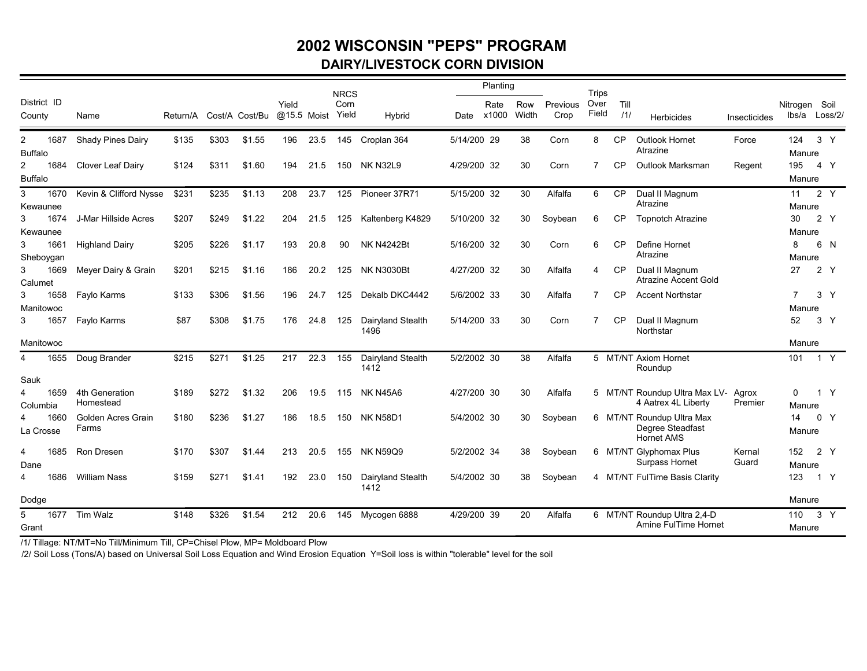### **2002 WISCONSIN "PEPS" PROGRAMDAIRY/LIVESTOCK CORN DIVISION**

|                                        |                                    |          |       |                |       |             | <b>NRCS</b>   |                           |             | Planting      |              |                  | <b>Trips</b>  |             |                                               |              |                        |                |                |
|----------------------------------------|------------------------------------|----------|-------|----------------|-------|-------------|---------------|---------------------------|-------------|---------------|--------------|------------------|---------------|-------------|-----------------------------------------------|--------------|------------------------|----------------|----------------|
| District ID<br>County                  | Name                               | Return/A |       | Cost/A Cost/Bu | Yield | @15.5 Moist | Corn<br>Yield | Hybrid                    | Date        | Rate<br>x1000 | Row<br>Width | Previous<br>Crop | Over<br>Field | Till<br>/1/ | <b>Herbicides</b>                             | Insecticides | Nitrogen Soil<br>lbs/a |                | Loss/2/        |
| 1687<br>2                              | Shady Pines Dairy                  | \$135    | \$303 | \$1.55         | 196   | 23.5        | 145           | Croplan 364               | 5/14/200 29 |               | 38           | Corn             | 8             | <b>CP</b>   | <b>Outlook Hornet</b><br>Atrazine             | Force        | 124                    |                | 3 Y            |
| <b>Buffalo</b>                         |                                    |          |       |                |       |             |               |                           |             |               |              |                  |               |             |                                               |              | Manure                 |                |                |
| 1684<br>$\mathbf{2}$<br><b>Buffalo</b> | Clover Leaf Dairy                  | \$124    | \$311 | \$1.60         | 194   | 21.5        | 150           | <b>NK N32L9</b>           | 4/29/200 32 |               | 30           | Corn             | 7             | <b>CP</b>   | Outlook Marksman                              | Regent       | 195<br>Manure          |                | 4 Y            |
|                                        |                                    |          |       |                |       |             |               |                           |             |               |              |                  |               |             |                                               |              |                        |                |                |
| 3<br>1670                              | Kevin & Clifford Nysse             | \$231    | \$235 | \$1.13         | 208   | 23.7        | 125           | Pioneer 37R71             | 5/15/200 32 |               | 30           | Alfalfa          | 6             | <b>CP</b>   | Dual II Magnum<br>Atrazine                    |              | 11<br>Manure           |                | 2 Y            |
| Kewaunee<br>1674<br>3                  | J-Mar Hillside Acres               | \$207    | \$249 | \$1.22         | 204   | 21.5        | 125           | Kaltenberg K4829          | 5/10/200 32 |               | 30           | Soybean          | 6             | <b>CP</b>   | <b>Topnotch Atrazine</b>                      |              | 30                     |                | 2Y             |
| Kewaunee                               |                                    |          |       |                |       |             |               |                           |             |               |              |                  |               |             |                                               |              | Manure                 |                |                |
| 1661<br>3                              | <b>Highland Dairy</b>              | \$205    | \$226 | \$1.17         | 193   | 20.8        | 90            | <b>NK N4242Bt</b>         | 5/16/200 32 |               | 30           | Corn             | 6             | <b>CP</b>   | Define Hornet                                 |              | 8                      |                | 6 N            |
| Sheboygan                              |                                    |          |       |                |       |             |               |                           |             |               |              |                  |               |             | Atrazine                                      |              | Manure                 |                |                |
| 1669<br>3                              | Meyer Dairy & Grain                | \$201    | \$215 | \$1.16         | 186   | 20.2        | 125           | <b>NK N3030Bt</b>         | 4/27/200 32 |               | 30           | Alfalfa          | 4             | CP          | Dual II Magnum                                |              | 27                     |                | 2 Y            |
| Calumet                                |                                    |          |       |                |       |             |               |                           |             |               |              |                  |               |             | Atrazine Accent Gold                          |              |                        |                |                |
| 1658<br>3                              | Faylo Karms                        | \$133    | \$306 | \$1.56         | 196   | 24.7        | 125           | Dekalb DKC4442            | 5/6/2002 33 |               | 30           | Alfalfa          | 7             | <b>CP</b>   | <b>Accent Northstar</b>                       |              | $\overline{7}$         |                | 3 <sup>7</sup> |
| Manitowoc                              |                                    |          |       |                |       |             |               |                           |             |               |              |                  |               |             |                                               |              | Manure                 |                |                |
| 3<br>1657                              | Faylo Karms                        | \$87     | \$308 | \$1.75         | 176   | 24.8        | 125           | Dairyland Stealth<br>1496 | 5/14/200 33 |               | 30           | Corn             | 7             | <b>CP</b>   | Dual II Magnum<br>Northstar                   |              | 52                     | 3 <sup>Y</sup> |                |
| Manitowoc                              |                                    |          |       |                |       |             |               |                           |             |               |              |                  |               |             |                                               |              | Manure                 |                |                |
| 1655<br>4                              | Doug Brander                       | \$215    | \$271 | \$1.25         | 217   | 22.3        | 155           | Dairyland Stealth         | 5/2/2002 30 |               | 38           | Alfalfa          |               |             | 5 MT/NT Axiom Hornet                          |              | 101                    |                | 1 Y            |
|                                        |                                    |          |       |                |       |             |               | 1412                      |             |               |              |                  |               |             | Roundup                                       |              |                        |                |                |
| Sauk                                   |                                    |          |       |                |       |             |               |                           |             |               |              |                  |               |             |                                               |              |                        |                |                |
| 1659<br>4                              | 4th Generation                     | \$189    | \$272 | \$1.32         | 206   | 19.5        | 115           | NK N45A6                  | 4/27/200 30 |               | 30           | Alfalfa          |               |             | 5 MT/NT Roundup Ultra Max LV-                 | Agrox        | 0                      |                | 1 Y            |
| Columbia                               | Homestead                          |          |       |                |       |             |               |                           |             |               |              |                  |               |             | 4 Aatrex 4L Liberty                           | Premier      | Manure                 |                |                |
| 1660                                   | <b>Golden Acres Grain</b><br>Farms | \$180    | \$236 | \$1.27         | 186   | 18.5        | 150           | <b>NK N58D1</b>           | 5/4/2002 30 |               | 30           | Soybean          |               |             | 6 MT/NT Roundup Ultra Max<br>Degree Steadfast |              | 14                     |                | 0 <sub>Y</sub> |
| La Crosse                              |                                    |          |       |                |       |             |               |                           |             |               |              |                  |               |             | <b>Hornet AMS</b>                             |              | Manure                 |                |                |
| 1685<br>4                              | Ron Dresen                         | \$170    | \$307 | \$1.44         | 213   | 20.5        | 155           | <b>NK N59Q9</b>           | 5/2/2002 34 |               | 38           | Soybean          |               |             | 6 MT/NT Glyphomax Plus                        | Kernal       | 152                    |                | 2Y             |
| Dane                                   |                                    |          |       |                |       |             |               |                           |             |               |              |                  |               |             | Surpass Hornet                                | Guard        | Manure                 |                |                |
| 1686<br>4                              | <b>William Nass</b>                | \$159    | \$271 | \$1.41         | 192   | 23.0        | 150           | Dairyland Stealth<br>1412 | 5/4/2002 30 |               | 38           | Soybean          |               |             | 4 MT/NT FulTime Basis Clarity                 |              | 123                    |                | 1 Y            |
| Dodge                                  |                                    |          |       |                |       |             |               |                           |             |               |              |                  |               |             |                                               |              | Manure                 |                |                |
| 5<br>1677                              | Tim Walz                           | \$148    | \$326 | \$1.54         | 212   | 20.6        | 145           | Mycogen 6888              | 4/29/200 39 |               | 20           | Alfalfa          |               |             | 6 MT/NT Roundup Ultra 2,4-D                   |              | 110                    |                | 3 Y            |
| Grant                                  |                                    |          |       |                |       |             |               |                           |             |               |              |                  |               |             | Amine FulTime Hornet                          |              | Manure                 |                |                |

/1/ Tillage: NT/MT=No Till/Minimum Till, CP=Chisel Plow, MP= Moldboard Plow

/2/ Soil Loss (Tons/A) based on Universal Soil Loss Equation and Wind Erosion Equation Y=Soil loss is within "tolerable" level for the soil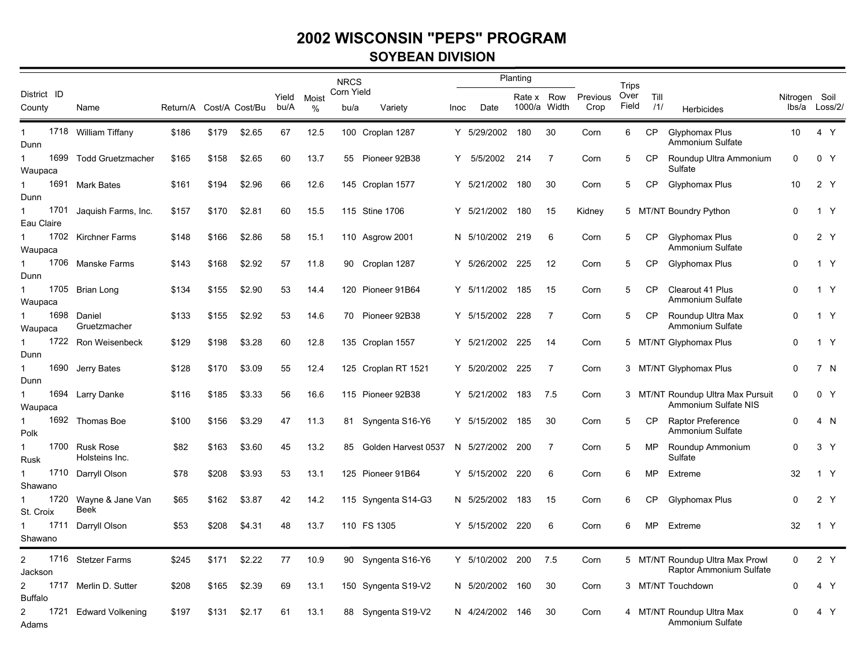#### **SOYBEAN DIVISION**

|                         |                                  |                         |       |        |               |            | <b>NRCS</b>        |                     |        |                 | Planting                   |                |                  |                        |             |                                                            |                                |                |  |
|-------------------------|----------------------------------|-------------------------|-------|--------|---------------|------------|--------------------|---------------------|--------|-----------------|----------------------------|----------------|------------------|------------------------|-------------|------------------------------------------------------------|--------------------------------|----------------|--|
| District ID<br>County   | Name                             | Return/A Cost/A Cost/Bu |       |        | Yield<br>bu/A | Moist<br>% | Corn Yield<br>bu/a | Variety             | lnoc l | Date            | Rate x Row<br>1000/a Width |                | Previous<br>Crop | Trips<br>Over<br>Field | Till<br>111 | Herbicides                                                 | Nitrogen Soil<br>lbs/a Loss/2/ |                |  |
| $\mathbf{1}$<br>Dunn    | 1718 William Tiffany             | \$186                   | \$179 | \$2.65 | 67            | 12.5       |                    | 100 Croplan 1287    |        | Y 5/29/2002     | 180                        | 30             | Corn             | 6                      | CP.         | Glyphomax Plus<br>Ammonium Sulfate                         | 10                             | 4 Y            |  |
| 1699<br>$\mathbf{1}$    | <b>Todd Gruetzmacher</b>         | \$165                   | \$158 | \$2.65 | 60            | 13.7       | 55                 | Pioneer 92B38       | Y      | 5/5/2002        | 214                        | 7              | Corn             | 5                      | CP          | Roundup Ultra Ammonium                                     | 0                              | 0 <sub>Y</sub> |  |
| Waupaca                 |                                  |                         |       |        |               |            |                    |                     |        |                 |                            |                |                  |                        |             | Sulfate                                                    |                                |                |  |
|                         | 1691 Mark Bates                  | \$161                   | \$194 | \$2.96 | 66            | 12.6       |                    | 145 Croplan 1577    |        | Y 5/21/2002     | 180                        | 30             | Corn             | 5                      | <b>CP</b>   | Glyphomax Plus                                             | 10                             | 2 Y            |  |
| Dunn<br>1701<br>1       | Jaquish Farms, Inc.              | \$157                   | \$170 | \$2.81 | 60            | 15.5       |                    | 115 Stine 1706      |        | Y 5/21/2002     | 180                        | 15             | Kidney           | 5                      |             | MT/NT Boundry Python                                       | $\Omega$                       | 1 Y            |  |
| Eau Claire              | 1702 Kirchner Farms              |                         |       |        |               |            |                    |                     |        |                 |                            |                |                  |                        | <b>CP</b>   |                                                            | 0                              | 2 Y            |  |
| Waupaca                 |                                  | \$148                   | \$166 | \$2.86 | 58            | 15.1       |                    | 110 Asgrow 2001     |        | N 5/10/2002 219 |                            | 6              | Corn             | 5                      |             | Glyphomax Plus<br>Ammonium Sulfate                         |                                |                |  |
| 1706<br>1               | <b>Manske Farms</b>              | \$143                   | \$168 | \$2.92 | 57            | 11.8       | 90                 | Croplan 1287        | Y      | 5/26/2002       | - 225                      | $12 \,$        | Corn             | 5                      | CP          | <b>Glyphomax Plus</b>                                      | $\Omega$                       | 1 Y            |  |
| Dunn                    |                                  |                         |       |        |               |            |                    |                     |        |                 |                            |                |                  |                        |             |                                                            |                                |                |  |
| Waupaca                 | 1705 Brian Long                  | \$134                   | \$155 | \$2.90 | 53            | 14.4       |                    | 120 Pioneer 91B64   |        | Y 5/11/2002 185 |                            | 15             | Corn             | 5                      | CP          | Clearout 41 Plus<br>Ammonium Sulfate                       | 0                              | 1 Y            |  |
| $\mathbf{1}$<br>Waupaca | 1698 Daniel<br>Gruetzmacher      | \$133                   | \$155 | \$2.92 | 53            | 14.6       | 70                 | Pioneer 92B38       |        | Y 5/15/2002     | 228                        | $\overline{7}$ | Corn             | 5                      | <b>CP</b>   | Roundup Ultra Max<br>Ammonium Sulfate                      | 0                              | 1 Y            |  |
| 1                       | 1722 Ron Weisenbeck              | \$129                   | \$198 | \$3.28 | 60            | 12.8       |                    | 135 Croplan 1557    |        | Y 5/21/2002     | 225                        | 14             | Corn             |                        |             | 5 MT/NT Glyphomax Plus                                     | 0                              | 1 Y            |  |
| Dunn                    |                                  |                         |       |        |               |            |                    |                     |        |                 |                            |                |                  |                        |             |                                                            |                                |                |  |
| 1690<br>$\mathbf{1}$    | Jerry Bates                      | \$128                   | \$170 | \$3.09 | 55            | 12.4       | 125                | Croplan RT 1521     |        | Y 5/20/2002     | 225                        | $\overline{7}$ | Corn             |                        |             | 3 MT/NT Glyphomax Plus                                     | 0                              | 7 N            |  |
| Dunn                    |                                  |                         |       |        |               |            |                    |                     |        |                 |                            |                |                  |                        |             |                                                            |                                |                |  |
| $\mathbf{1}$            | 1694 Larry Danke                 | \$116                   | \$185 | \$3.33 | 56            | 16.6       |                    | 115 Pioneer 92B38   |        | Y 5/21/2002     | 183                        | 7.5            | Corn             |                        |             | 3 MT/NT Roundup Ultra Max Pursuit                          | 0                              | 0 <sub>Y</sub> |  |
| Waupaca                 |                                  |                         |       |        |               |            |                    |                     |        |                 |                            |                |                  |                        |             | Ammonium Sulfate NIS                                       |                                |                |  |
| 1                       | 1692 Thomas Boe                  | \$100                   | \$156 | \$3.29 | 47            | 11.3       | 81                 | Syngenta S16-Y6     |        | Y 5/15/2002     | 185                        | 30             | Corn             | 5                      | <b>CP</b>   | Raptor Preference<br>Ammonium Sulfate                      | 0                              | 4 N            |  |
| Polk                    |                                  |                         |       |        |               |            |                    |                     |        |                 |                            |                |                  |                        |             |                                                            |                                |                |  |
| 1<br><b>Rusk</b>        | 1700 Rusk Rose<br>Holsteins Inc. | \$82                    | \$163 | \$3.60 | 45            | 13.2       | 85                 | Golden Harvest 0537 |        | N 5/27/2002     | 200                        | 7              | Corn             | 5                      | MP          | Roundup Ammonium<br>Sulfate                                | 0                              | 3 <sup>7</sup> |  |
| 1                       | 1710 Darryll Olson               | \$78                    | \$208 | \$3.93 | 53            | 13.1       |                    | 125 Pioneer 91B64   |        | Y 5/15/2002     | 220                        | 6              | Corn             | 6                      | MP          | Extreme                                                    | 32                             | 1 Y            |  |
| Shawano                 |                                  |                         |       |        |               |            |                    |                     |        |                 |                            |                |                  |                        |             |                                                            |                                |                |  |
| 1720<br>1               | Wayne & Jane Van                 | \$65                    | \$162 | \$3.87 | 42            | 14.2       | 115                | Syngenta S14-G3     |        | N 5/25/2002     | 183                        | 15             | Corn             | 6                      | <b>CP</b>   | Glyphomax Plus                                             | 0                              | 2 Y            |  |
| St. Croix               | <b>Beek</b>                      |                         |       |        |               |            |                    |                     |        |                 |                            |                |                  |                        |             |                                                            |                                |                |  |
| 1<br>Shawano            | 1711 Darryll Olson               | \$53                    | \$208 | \$4.31 | 48            | 13.7       |                    | 110 FS 1305         |        | Y 5/15/2002     | 220                        | 6              | Corn             | 6                      | MP.         | Extreme                                                    | 32                             | 1 Y            |  |
| $\overline{c}$          | 1716 Stetzer Farms               | \$245                   | \$171 | \$2.22 | 77            | 10.9       | 90                 | Syngenta S16-Y6     |        | Y 5/10/2002     | - 200                      | 7.5            | Corn             |                        |             | 5 MT/NT Roundup Ultra Max Prowl<br>Raptor Ammonium Sulfate | 0                              | 2 Y            |  |
| Jackson                 |                                  |                         |       |        |               |            |                    |                     |        |                 |                            |                |                  |                        |             |                                                            |                                |                |  |
| 2<br><b>Buffalo</b>     | 1717 Merlin D. Sutter            | \$208                   | \$165 | \$2.39 | 69            | 13.1       |                    | 150 Syngenta S19-V2 |        | N 5/20/2002     | 160                        | 30             | Corn             |                        |             | 3 MT/NT Touchdown                                          | 0                              | 4 Y            |  |
| $\overline{2}$<br>Adams | 1721 Edward Volkening            | \$197                   | \$131 | \$2.17 | 61            | 13.1       | 88                 | Syngenta S19-V2     |        | N 4/24/2002     | 146                        | 30             | Corn             | 4                      |             | MT/NT Roundup Ultra Max<br>Ammonium Sulfate                | $\Omega$                       | 4 Y            |  |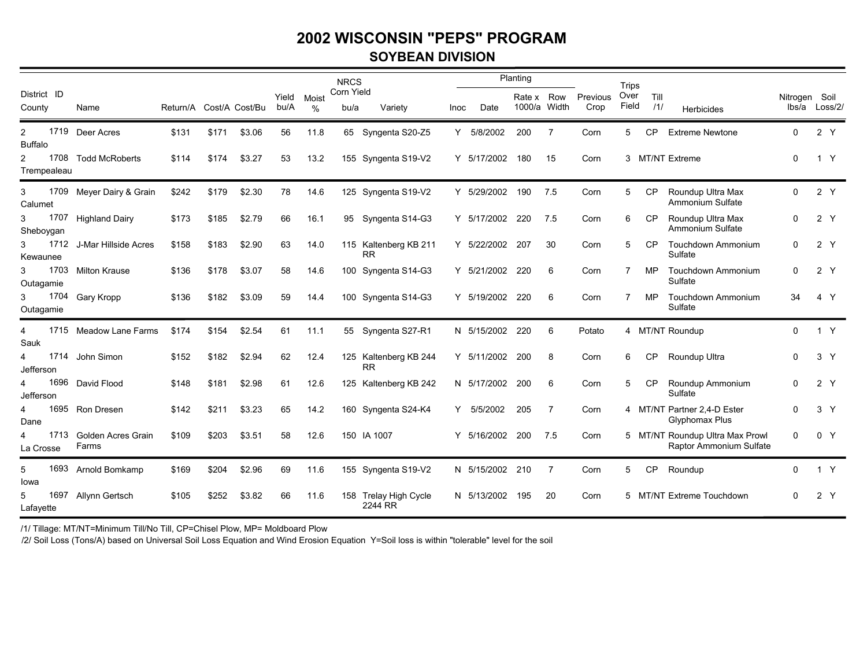### **2002 WISCONSIN "PEPS" PROGRAMSOYBEAN DIVISION**

|                                  |                             |          |       |                |               |            | <b>NRCS</b>        |                                    |             |             | Planting         |              |                  | Trips         |             |                                                            |               |                |
|----------------------------------|-----------------------------|----------|-------|----------------|---------------|------------|--------------------|------------------------------------|-------------|-------------|------------------|--------------|------------------|---------------|-------------|------------------------------------------------------------|---------------|----------------|
| District ID<br>County            | Name                        | Return/A |       | Cost/A Cost/Bu | Yield<br>bu/A | Moist<br>% | Corn Yield<br>bu/a | Variety                            | <b>Inoc</b> | Date        | Rate x<br>1000/a | Row<br>Width | Previous<br>Crop | Over<br>Field | Till<br>/1/ | Herbicides                                                 | Nitrogen Soil | lbs/a Loss/2/  |
| $\overline{2}$<br><b>Buffalo</b> | 1719 Deer Acres             | \$131    | \$171 | \$3.06         | 56            | 11.8       | 65                 | Syngenta S20-Z5                    | Y           | 5/8/2002    | 200              | 7            | Corn             | 5             | CP          | <b>Extreme Newtone</b>                                     | $\Omega$      | 2 Y            |
| $\overline{c}$<br>Trempealeau    | 1708 Todd McRoberts         | \$114    | \$174 | \$3.27         | 53            | 13.2       |                    | 155 Syngenta S19-V2                | Y           | 5/17/2002   | 180              | -15          | Corn             |               |             | 3 MT/NT Extreme                                            | $\Omega$      | 1 Y            |
| 3<br>Calumet                     | 1709 Meyer Dairy & Grain    | \$242    | \$179 | \$2.30         | 78            | 14.6       |                    | 125 Syngenta S19-V2                |             | Y 5/29/2002 | 190              | 7.5          | Corn             | 5             | <b>CP</b>   | Roundup Ultra Max<br>Ammonium Sulfate                      | $\Omega$      | 2Y             |
| 1707<br>3<br>Sheboygan           | <b>Highland Dairy</b>       | \$173    | \$185 | \$2.79         | 66            | 16.1       | 95                 | Syngenta S14-G3                    | Y           | 5/17/2002   | 220              | 7.5          | Corn             | 6             | CP          | Roundup Ultra Max<br>Ammonium Sulfate                      | $\Omega$      | 2Y             |
| 1712<br>3<br>Kewaunee            | J-Mar Hillside Acres        | \$158    | \$183 | \$2.90         | 63            | 14.0       |                    | 115 Kaltenberg KB 211<br><b>RR</b> |             | Y 5/22/2002 | 207              | 30           | Corn             | 5             | <b>CP</b>   | <b>Touchdown Ammonium</b><br>Sulfate                       | 0             | 2Y             |
| 1703<br>3<br>Outagamie           | <b>Milton Krause</b>        | \$136    | \$178 | \$3.07         | 58            | 14.6       |                    | 100 Syngenta S14-G3                |             | Y 5/21/2002 | 220              | 6            | Corn             | 7             | MP          | <b>Touchdown Ammonium</b><br>Sulfate                       | 0             | 2 Y            |
| 3<br>Outagamie                   | 1704 Gary Kropp             | \$136    | \$182 | \$3.09         | 59            | 14.4       |                    | 100 Syngenta S14-G3                | Y.          | 5/19/2002   | 220              | 6            | Corn             |               | MP.         | Touchdown Ammonium<br>Sulfate                              | 34            | 4 Y            |
| 4<br>Sauk                        | 1715 Meadow Lane Farms      | \$174    | \$154 | \$2.54         | 61            | 11.1       |                    | 55 Syngenta S27-R1                 |             | N 5/15/2002 | 220              | 6            | Potato           |               |             | 4 MT/NT Roundup                                            | $\Omega$      | 1 Y            |
| 1714<br>4<br>Jefferson           | John Simon                  | \$152    | \$182 | \$2.94         | 62            | 12.4       |                    | 125 Kaltenberg KB 244<br><b>RR</b> |             | Y 5/11/2002 | 200              | 8            | Corn             | 6             | CP          | Roundup Ultra                                              | 0             | 3 <sup>7</sup> |
| 4<br>Jefferson                   | 1696 David Flood            | \$148    | \$181 | \$2.98         | 61            | 12.6       |                    | 125 Kaltenberg KB 242              |             | N 5/17/2002 | 200              | 6            | Corn             | 5             | CP          | Roundup Ammonium<br>Sulfate                                |               | 2 Y            |
| 4<br>Dane                        | 1695 Ron Dresen             | \$142    | \$211 | \$3.23         | 65            | 14.2       |                    | 160 Syngenta S24-K4                | Y           | 5/5/2002    | 205              | -7           | Corn             |               |             | 4 MT/NT Partner 2,4-D Ester<br>Glyphomax Plus              | $\Omega$      | 3 <sup>7</sup> |
| 1713<br>4<br>La Crosse           | Golden Acres Grain<br>Farms | \$109    | \$203 | \$3.51         | 58            | 12.6       |                    | 150 IA 1007                        | Y           | 5/16/2002   | 200              | 7.5          | Corn             |               |             | 5 MT/NT Roundup Ultra Max Prowl<br>Raptor Ammonium Sulfate | $\Omega$      | 0 Y            |
| 1693<br>5<br>lowa                | Arnold Bomkamp              | \$169    | \$204 | \$2.96         | 69            | 11.6       |                    | 155 Syngenta S19-V2                |             | N 5/15/2002 | 210              | -7           | Corn             | 5             | <b>CP</b>   | Roundup                                                    | $\Omega$      | 1 Y            |
| 1697<br>5<br>Lafayette           | Allynn Gertsch              | \$105    | \$252 | \$3.82         | 66            | 11.6       |                    | 158 Trelay High Cycle<br>2244 RR   |             | N 5/13/2002 | 195              | 20           | Corn             |               |             | 5 MT/NT Extreme Touchdown                                  | 0             | 2 Y            |

/1/ Tillage: MT/NT=Minimum Till/No Till, CP=Chisel Plow, MP= Moldboard Plow

/2/ Soil Loss (Tons/A) based on Universal Soil Loss Equation and Wind Erosion Equation Y=Soil loss is within "tolerable" level for the soil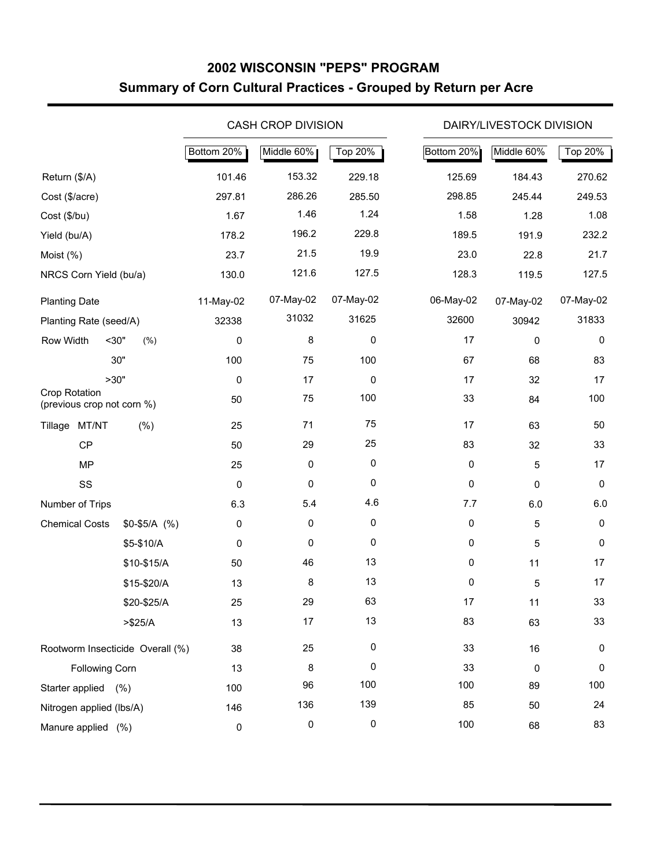### **2002 WISCONSIN "PEPS" PROGRAM Summary of Corn Cultural Practices - Grouped by Return per Acre**

|                                             |               |            | <b>CASH CROP DIVISION</b> |             |            | DAIRY/LIVESTOCK DIVISION |                |
|---------------------------------------------|---------------|------------|---------------------------|-------------|------------|--------------------------|----------------|
|                                             |               | Bottom 20% | Middle 60%                | Top 20%     | Bottom 20% | Middle 60%               | <b>Top 20%</b> |
| Return (\$/A)                               |               | 101.46     | 153.32                    | 229.18      | 125.69     | 184.43                   | 270.62         |
| Cost (\$/acre)                              |               | 297.81     | 286.26                    | 285.50      | 298.85     | 245.44                   | 249.53         |
| Cost (\$/bu)                                |               | 1.67       | 1.46                      | 1.24        | 1.58       | 1.28                     | 1.08           |
| Yield (bu/A)                                |               | 178.2      | 196.2                     | 229.8       | 189.5      | 191.9                    | 232.2          |
| Moist (%)                                   |               | 23.7       | 21.5                      | 19.9        | 23.0       | 22.8                     | 21.7           |
| NRCS Corn Yield (bu/a)                      |               | 130.0      | 121.6                     | 127.5       | 128.3      | 119.5                    | 127.5          |
| <b>Planting Date</b>                        |               | 11-May-02  | 07-May-02                 | 07-May-02   | 06-May-02  | 07-May-02                | 07-May-02      |
| Planting Rate (seed/A)                      |               | 32338      | 31032                     | 31625       | 32600      | 30942                    | 31833          |
| Row Width<br>$30$ "                         | (% )          | 0          | 8                         | 0           | 17         | 0                        | 0              |
|                                             | 30"           | 100        | 75                        | 100         | 67         | 68                       | 83             |
| >30"                                        |               | 0          | 17                        | 0           | 17         | 32                       | 17             |
| Crop Rotation<br>(previous crop not corn %) |               | 50         | 75                        | 100         | 33         | 84                       | 100            |
| Tillage MT/NT                               | $(\% )$       | 25         | 71                        | 75          | 17         | 63                       | 50             |
| CP                                          |               | 50         | 29                        | 25          | 83         | 32                       | 33             |
| <b>MP</b>                                   |               | 25         | 0                         | $\mathbf 0$ | $\pmb{0}$  | 5                        | 17             |
| SS                                          |               | 0          | 0                         | 0           | $\pmb{0}$  | 0                        | 0              |
| Number of Trips                             |               | 6.3        | 5.4                       | 4.6         | 7.7        | 6.0                      | 6.0            |
| <b>Chemical Costs</b>                       | $$0-$5/A$ (%) | 0          | 0                         | $\mathbf 0$ | $\pmb{0}$  | 5                        | 0              |
|                                             | \$5-\$10/A    | 0          | 0                         | 0           | $\pmb{0}$  | 5                        | 0              |
|                                             | \$10-\$15/A   | 50         | 46                        | 13          | $\pmb{0}$  | 11                       | 17             |
|                                             | \$15-\$20/A   | 13         | 8                         | 13          | 0          | 5                        | 17             |
|                                             | \$20-\$25/A   | 25         | 29                        | 63          | 17         | 11                       | 33             |
|                                             | > \$25/A      | 13         | 17                        | 13          | 83         | 63                       | 33             |
| Rootworm Insecticide Overall (%)            |               | 38         | 25                        | $\pmb{0}$   | 33         | 16                       | 0              |
| Following Corn                              |               | 13         | 8                         | 0           | 33         | 0                        | 0              |
| Starter applied (%)                         |               | 100        | 96                        | 100         | 100        | 89                       | 100            |
| Nitrogen applied (lbs/A)                    |               | 146        | 136                       | 139         | 85         | 50                       | 24             |
| Manure applied (%)                          |               | 0          | 0                         | 0           | 100        | 68                       | 83             |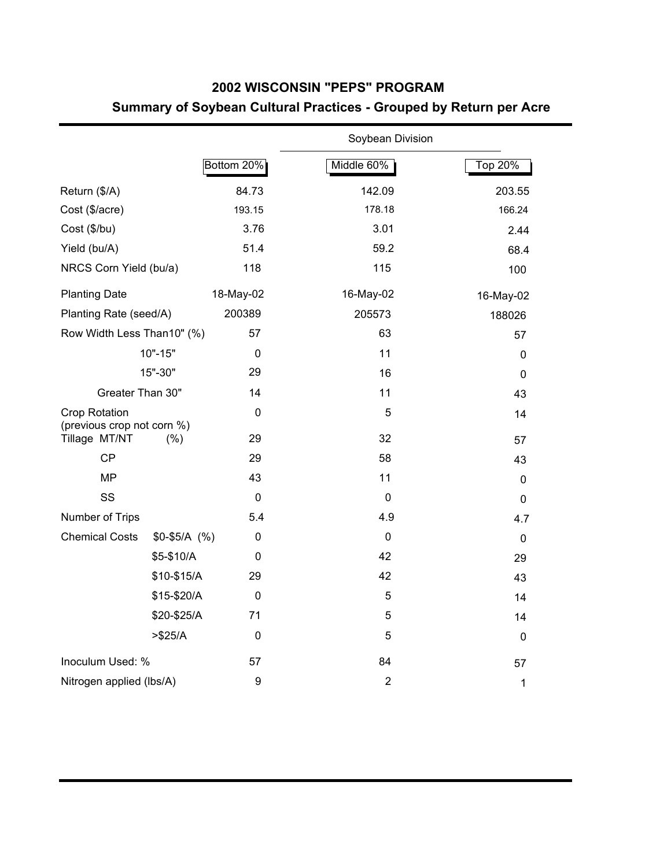### **2002 WISCONSIN "PEPS" PROGRAM Summary of Soybean Cultural Practices - Grouped by Return per Acre**

|                                                    |               |                  | Soybean Division |             |
|----------------------------------------------------|---------------|------------------|------------------|-------------|
|                                                    |               | Bottom 20%       | Middle 60%       | Top 20%     |
| Return (\$/A)                                      |               | 84.73            | 142.09           | 203.55      |
| Cost (\$/acre)                                     |               | 193.15           | 178.18           | 166.24      |
| Cost (\$/bu)                                       |               | 3.76             | 3.01             | 2.44        |
| Yield (bu/A)                                       |               | 51.4             | 59.2             | 68.4        |
| NRCS Corn Yield (bu/a)                             |               | 118              | 115              | 100         |
| <b>Planting Date</b>                               |               | 18-May-02        | 16-May-02        | 16-May-02   |
| Planting Rate (seed/A)                             |               | 200389           | 205573           | 188026      |
| Row Width Less Than10" (%)                         |               | 57               | 63               | 57          |
|                                                    | 10"-15"       | 0                | 11               | 0           |
|                                                    | 15"-30"       | 29               | 16               | 0           |
| Greater Than 30"                                   |               | 14               | 11               | 43          |
| <b>Crop Rotation</b><br>(previous crop not corn %) |               | $\mathbf 0$      | 5                | 14          |
| Tillage MT/NT                                      | (% )          | 29               | 32               | 57          |
| <b>CP</b>                                          |               | 29               | 58               | 43          |
| <b>MP</b>                                          |               | 43               | 11               | $\mathbf 0$ |
| SS                                                 |               | $\pmb{0}$        | $\pmb{0}$        | $\mathbf 0$ |
| Number of Trips                                    |               | 5.4              | 4.9              | 4.7         |
| <b>Chemical Costs</b>                              | $$0-$5/A$ (%) | 0                | 0                | $\mathbf 0$ |
|                                                    | \$5-\$10/A    | 0                | 42               | 29          |
|                                                    | \$10-\$15/A   | 29               | 42               | 43          |
|                                                    | \$15-\$20/A   | $\mathbf 0$      | 5                | 14          |
|                                                    | \$20-\$25/A   | 71               | 5                | 14          |
|                                                    | > \$25/A      | $\mathbf 0$      | 5                | $\mathbf 0$ |
| Inoculum Used: %                                   |               | 57               | 84               | 57          |
| Nitrogen applied (lbs/A)                           |               | $\boldsymbol{9}$ | $\overline{2}$   | $\mathbf 1$ |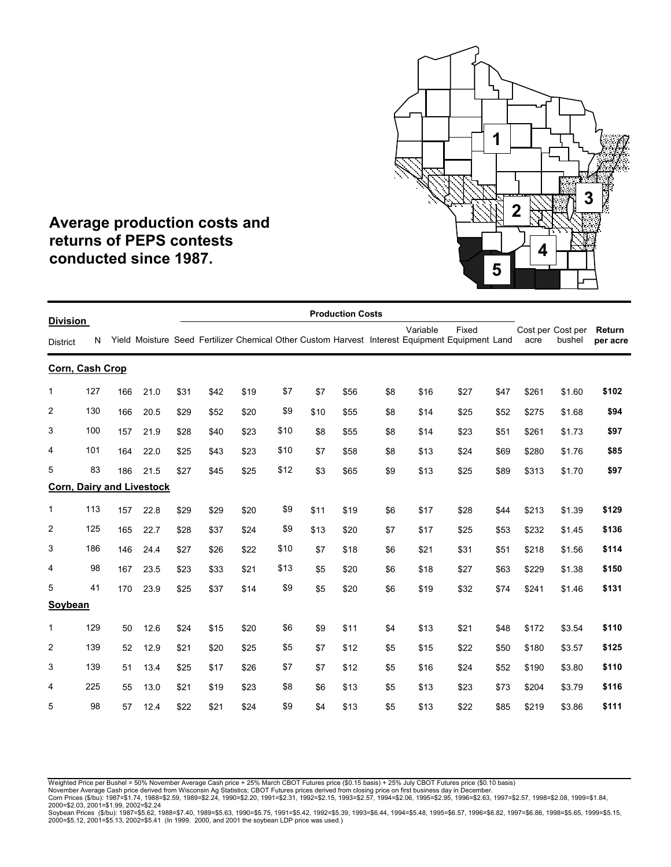

### **Average production costs and returns of PEPS contests conducted since 1987.**

|                                    |     |     |                                  |      |      |      |      |      | <b>Production Costs</b> |     |          |                                                                                                         |      |       |                             |                    |
|------------------------------------|-----|-----|----------------------------------|------|------|------|------|------|-------------------------|-----|----------|---------------------------------------------------------------------------------------------------------|------|-------|-----------------------------|--------------------|
| <b>Division</b><br><b>District</b> | N   |     |                                  |      |      |      |      |      |                         |     | Variable | Fixed<br>Yield Moisture Seed Fertilizer Chemical Other Custom Harvest Interest Equipment Equipment Land |      | acre  | Cost per Cost per<br>bushel | Return<br>per acre |
| Corn, Cash Crop                    |     |     |                                  |      |      |      |      |      |                         |     |          |                                                                                                         |      |       |                             |                    |
| 1                                  | 127 | 166 | 21.0                             | \$31 | \$42 | \$19 | \$7  | \$7  | \$56                    | \$8 | \$16     | \$27                                                                                                    | \$47 | \$261 | \$1.60                      | \$102              |
| $\overline{2}$                     | 130 | 166 | 20.5                             | \$29 | \$52 | \$20 | \$9  | \$10 | \$55                    | \$8 | \$14     | \$25                                                                                                    | \$52 | \$275 | \$1.68                      | \$94               |
| 3                                  | 100 | 157 | 21.9                             | \$28 | \$40 | \$23 | \$10 | \$8  | \$55                    | \$8 | \$14     | \$23                                                                                                    | \$51 | \$261 | \$1.73                      | \$97               |
| $\overline{4}$                     | 101 | 164 | 22.0                             | \$25 | \$43 | \$23 | \$10 | \$7  | \$58                    | \$8 | \$13     | \$24                                                                                                    | \$69 | \$280 | \$1.76                      | \$85               |
| 5                                  | 83  | 186 | 21.5                             | \$27 | \$45 | \$25 | \$12 | \$3  | \$65                    | \$9 | \$13     | \$25                                                                                                    | \$89 | \$313 | \$1.70                      | \$97               |
|                                    |     |     | <b>Corn, Dairy and Livestock</b> |      |      |      |      |      |                         |     |          |                                                                                                         |      |       |                             |                    |
| $\mathbf{1}$                       | 113 | 157 | 22.8                             | \$29 | \$29 | \$20 | \$9  | \$11 | \$19                    | \$6 | \$17     | \$28                                                                                                    | \$44 | \$213 | \$1.39                      | \$129              |
| $\overline{2}$                     | 125 | 165 | 22.7                             | \$28 | \$37 | \$24 | \$9  | \$13 | \$20                    | \$7 | \$17     | \$25                                                                                                    | \$53 | \$232 | \$1.45                      | \$136              |
| 3                                  | 186 | 146 | 24.4                             | \$27 | \$26 | \$22 | \$10 | \$7  | \$18                    | \$6 | \$21     | \$31                                                                                                    | \$51 | \$218 | \$1.56                      | \$114              |
| 4                                  | 98  | 167 | 23.5                             | \$23 | \$33 | \$21 | \$13 | \$5  | \$20                    | \$6 | \$18     | \$27                                                                                                    | \$63 | \$229 | \$1.38                      | \$150              |
| 5                                  | 41  | 170 | 23.9                             | \$25 | \$37 | \$14 | \$9  | \$5  | \$20                    | \$6 | \$19     | \$32                                                                                                    | \$74 | \$241 | \$1.46                      | \$131              |
| Soybean                            |     |     |                                  |      |      |      |      |      |                         |     |          |                                                                                                         |      |       |                             |                    |
| 1                                  | 129 | 50  | 12.6                             | \$24 | \$15 | \$20 | \$6  | \$9  | \$11                    | \$4 | \$13     | \$21                                                                                                    | \$48 | \$172 | \$3.54                      | \$110              |
| $\overline{2}$                     | 139 | 52  | 12.9                             | \$21 | \$20 | \$25 | \$5  | \$7  | \$12                    | \$5 | \$15     | \$22                                                                                                    | \$50 | \$180 | \$3.57                      | \$125              |
| 3                                  | 139 | 51  | 13.4                             | \$25 | \$17 | \$26 | \$7  | \$7  | \$12                    | \$5 | \$16     | \$24                                                                                                    | \$52 | \$190 | \$3.80                      | \$110              |
| 4                                  | 225 | 55  | 13.0                             | \$21 | \$19 | \$23 | \$8  | \$6  | \$13                    | \$5 | \$13     | \$23                                                                                                    | \$73 | \$204 | \$3.79                      | \$116              |
| 5                                  | 98  | 57  | 12.4                             | \$22 | \$21 | \$24 | \$9  | \$4  | \$13                    | \$5 | \$13     | \$22                                                                                                    | \$85 | \$219 | \$3.86                      | \$111              |

Weighted Price per Bushel = 50% November Average Cash price + 25% March CBOT Futures price (\$0.15 basis) + 25% July CBOT Futures price (\$0.10 basis)

November Average Cash price derived from Wisconsin Ag Statistics; CBOT Futures prices derived from closing price on first business day in December.<br>Corn Prices (\$/bu): 1987=\$1.74, 1988=\$2.59, 1989=\$2.24, 1990=\$2.20, 1991=\$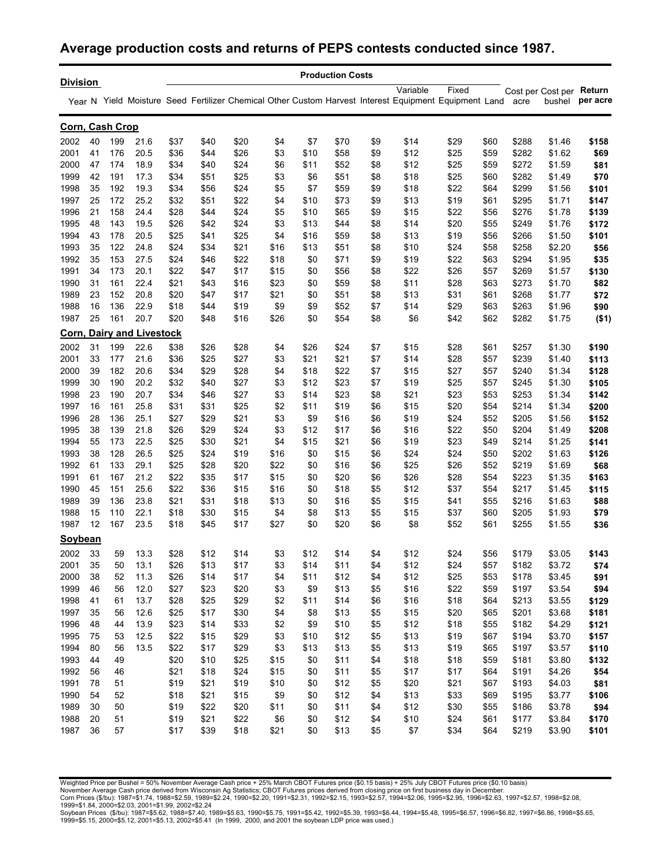#### **Average production costs and returns of PEPS contests conducted since 1987.**

|                 |    |     |                                  |      |      |      |      |      | <b>Production Costs</b> |     |          |                                                                                                            |      |       |                          |          |
|-----------------|----|-----|----------------------------------|------|------|------|------|------|-------------------------|-----|----------|------------------------------------------------------------------------------------------------------------|------|-------|--------------------------|----------|
| <b>Division</b> |    |     |                                  |      |      |      |      |      |                         |     | Variable | Fixed                                                                                                      |      |       | Cost per Cost per Return |          |
|                 |    |     |                                  |      |      |      |      |      |                         |     |          | Year N Yield Moisture Seed Fertilizer Chemical Other Custom Harvest Interest Equipment Equipment Land acre |      |       | bushel                   | per acre |
| Corn, Cash Crop |    |     |                                  |      |      |      |      |      |                         |     |          |                                                                                                            |      |       |                          |          |
| 2002            | 40 | 199 | 21.6                             | \$37 | \$40 | \$20 | \$4  | \$7  | \$70                    | \$9 | \$14     | \$29                                                                                                       | \$60 | \$288 | \$1.46                   | \$158    |
| 2001            | 41 | 176 | 20.5                             | \$36 | \$44 | \$26 | \$3  | \$10 | \$58                    | \$9 | \$12     | \$25                                                                                                       | \$59 | \$282 | \$1.62                   | \$69     |
| 2000            | 47 | 174 | 18.9                             | \$34 | \$40 | \$24 | \$6  | \$11 | \$52                    | \$8 | \$12     | \$25                                                                                                       | \$59 | \$272 | \$1.59                   | \$81     |
| 1999            | 42 | 191 | 17.3                             | \$34 | \$51 | \$25 | \$3  | \$6  | \$51                    | \$8 | \$18     | \$25                                                                                                       | \$60 | \$282 | \$1.49                   | \$70     |
| 1998            | 35 | 192 | 19.3                             | \$34 | \$56 | \$24 | \$5  | \$7  | \$59                    | \$9 | \$18     | \$22                                                                                                       | \$64 | \$299 | \$1.56                   | \$101    |
| 1997            | 25 | 172 | 25.2                             | \$32 | \$51 | \$22 | \$4  | \$10 | \$73                    | \$9 | \$13     | \$19                                                                                                       | \$61 | \$295 | \$1.71                   | \$147    |
| 1996            | 21 | 158 | 24.4                             | \$28 | \$44 | \$24 | \$5  | \$10 | \$65                    | \$9 | \$15     | \$22                                                                                                       | \$56 | \$276 | \$1.78                   | \$139    |
| 1995            | 48 | 143 | 19.5                             | \$26 | \$42 | \$24 | \$3  | \$13 | \$44                    | \$8 | \$14     | \$20                                                                                                       | \$55 | \$249 | \$1.76                   | \$172    |
| 1994            | 43 | 178 | 20.5                             | \$25 | \$41 | \$25 | \$4  | \$16 | \$59                    | \$8 | \$13     | \$19                                                                                                       | \$56 | \$266 | \$1.50                   | \$101    |
| 1993            | 35 | 122 | 24.8                             | \$24 | \$34 | \$21 | \$16 | \$13 | \$51                    | \$8 | \$10     | \$24                                                                                                       | \$58 | \$258 | \$2.20                   | \$56     |
| 1992            | 35 | 153 | 27.5                             | \$24 | \$46 | \$22 | \$18 | \$0  | \$71                    | \$9 | \$19     | \$22                                                                                                       | \$63 | \$294 | \$1.95                   | \$35     |
| 1991            | 34 | 173 | 20.1                             | \$22 | \$47 | \$17 | \$15 | \$0  | \$56                    | \$8 | \$22     | \$26                                                                                                       | \$57 | \$269 | \$1.57                   | \$130    |
| 1990            | 31 | 161 | 22.4                             | \$21 | \$43 | \$16 | \$23 | \$0  | \$59                    | \$8 | \$11     | \$28                                                                                                       | \$63 | \$273 | \$1.70                   | \$82     |
| 1989            | 23 | 152 | 20.8                             | \$20 | \$47 | \$17 | \$21 | \$0  | \$51                    | \$8 | \$13     | \$31                                                                                                       | \$61 | \$268 | \$1.77                   | \$72     |
| 1988            | 16 | 136 | 22.9                             | \$18 | \$44 | \$19 | \$9  | \$9  | \$52                    | \$7 | \$14     | \$29                                                                                                       | \$63 | \$263 | \$1.96                   | \$90     |
| 1987            | 25 | 161 | 20.7                             | \$20 | \$48 | \$16 | \$26 | \$0  | \$54                    | \$8 | \$6      | \$42                                                                                                       | \$62 | \$282 | \$1.75                   | ( \$1)   |
|                 |    |     | <b>Corn, Dairy and Livestock</b> |      |      |      |      |      |                         |     |          |                                                                                                            |      |       |                          |          |
| 2002            | 31 | 199 | 22.6                             | \$38 | \$26 | \$28 | \$4  | \$26 | \$24                    | \$7 | \$15     | \$28                                                                                                       | \$61 | \$257 | \$1.30                   | \$190    |
| 2001            | 33 | 177 | 21.6                             | \$36 | \$25 | \$27 | \$3  | \$21 | \$21                    | \$7 | \$14     | \$28                                                                                                       | \$57 | \$239 | \$1.40                   | \$113    |
| 2000            | 39 | 182 | 20.6                             | \$34 | \$29 | \$28 | \$4  | \$18 | \$22                    | \$7 | \$15     | \$27                                                                                                       | \$57 | \$240 | \$1.34                   | \$128    |
| 1999            | 30 | 190 | 20.2                             | \$32 | \$40 | \$27 | \$3  | \$12 | \$23                    | \$7 | \$19     | \$25                                                                                                       | \$57 | \$245 | \$1.30                   | \$105    |
| 1998            | 23 | 190 | 20.7                             | \$34 | \$46 | \$27 | \$3  | \$14 | \$23                    | \$8 | \$21     | \$23                                                                                                       | \$53 | \$253 | \$1.34                   | \$142    |
| 1997            | 16 | 161 | 25.8                             | \$31 | \$31 | \$25 | \$2  | \$11 | \$19                    | \$6 | \$15     | \$20                                                                                                       | \$54 | \$214 | \$1.34                   | \$200    |
| 1996            | 28 | 136 | 25.1                             | \$27 | \$29 | \$21 | \$3  | \$9  | \$16                    | \$6 | \$19     | \$24                                                                                                       | \$52 | \$205 | \$1.56                   | \$152    |
| 1995            | 38 | 139 | 21.8                             | \$26 | \$29 | \$24 | \$3  | \$12 | \$17                    | \$6 | \$16     | \$22                                                                                                       | \$50 | \$204 | \$1.49                   | \$208    |
| 1994            | 55 | 173 | 22.5                             | \$25 | \$30 | \$21 | \$4  | \$15 | \$21                    | \$6 | \$19     | \$23                                                                                                       | \$49 | \$214 | \$1.25                   | \$141    |
| 1993            | 38 | 128 | 26.5                             | \$25 | \$24 | \$19 | \$16 | \$0  | \$15                    | \$6 | \$24     | \$24                                                                                                       | \$50 | \$202 | \$1.63                   | \$126    |
| 1992            | 61 | 133 | 29.1                             | \$25 | \$28 | \$20 | \$22 | \$0  | \$16                    | \$6 | \$25     | \$26                                                                                                       | \$52 | \$219 | \$1.69                   | \$68     |
| 1991            | 61 | 167 | 21.2                             | \$22 | \$35 | \$17 | \$15 | \$0  | \$20                    | \$6 | \$26     | \$28                                                                                                       | \$54 | \$223 | \$1.35                   | \$163    |
| 1990            | 45 | 151 | 25.6                             | \$22 | \$36 | \$15 | \$16 | \$0  | \$18                    | \$5 | \$12     | \$37                                                                                                       | \$54 | \$217 | \$1.45                   | \$115    |
| 1989            | 39 | 136 | 23.8                             | \$21 | \$31 | \$18 | \$13 | \$0  | \$16                    | \$5 | \$15     | \$41                                                                                                       | \$55 | \$216 | \$1.63                   | \$88     |
| 1988            | 15 | 110 | 22.1                             | \$18 | \$30 | \$15 | \$4  | \$8  | \$13                    | \$5 | \$15     | \$37                                                                                                       | \$60 | \$205 | \$1.93                   | \$79     |
| 1987            | 12 | 167 | 23.5                             | \$18 | \$45 | \$17 | \$27 | \$0  | \$20                    | \$6 | \$8      | \$52                                                                                                       | \$61 | \$255 | \$1.55                   | \$36     |
| <b>Soybean</b>  |    |     |                                  |      |      |      |      |      |                         |     |          |                                                                                                            |      |       |                          |          |
| 2002            | 33 | 59  | 13.3                             | \$28 | \$12 | \$14 | \$3  | \$12 | \$14                    | \$4 | \$12     | \$24                                                                                                       | \$56 | \$179 | \$3.05                   | \$143    |
| 2001            | 35 | 50  | 13.1                             | \$26 | \$13 | \$17 | \$3  | \$14 | \$11                    | \$4 | \$12     | \$24                                                                                                       | \$57 | \$182 | \$3.72                   | \$74     |
| 2000            | 38 | 52  | 11.3                             | \$26 | \$14 | \$17 | \$4  | \$11 | \$12                    | \$4 | \$12     | \$25                                                                                                       | \$53 | \$178 | \$3.45                   | \$91     |
| 1999            | 46 | 56  | 12.0                             | \$27 | \$23 | \$20 | \$3  | \$9  | \$13                    | \$5 | \$16     | \$22                                                                                                       | \$59 | \$197 | \$3.54                   | \$94     |
| 1998            | 41 | 61  | 13.7                             | \$28 | \$25 | \$29 | \$2  | \$11 | \$14                    | \$6 | \$16     | \$18                                                                                                       | \$64 | \$213 | \$3.55                   | \$129    |
| 1997            | 35 | 56  | 12.6                             | \$25 | \$17 | \$30 | \$4  | \$8  | \$13                    | \$5 | \$15     | \$20                                                                                                       | \$65 | \$201 | \$3.68                   | \$181    |
| 1996            | 48 | 44  | 13.9                             | \$23 | \$14 | \$33 | \$2  | \$9  | \$10                    | \$5 | \$12     | \$18                                                                                                       | \$55 | \$182 | \$4.29                   | \$121    |
| 1995            | 75 | 53  | 12.5                             | \$22 | \$15 | \$29 | \$3  | \$10 | \$12                    | \$5 | \$13     | \$19                                                                                                       | \$67 | \$194 | \$3.70                   | \$157    |
| 1994            | 80 | 56  | 13.5                             | \$22 | \$17 | \$29 | \$3  | \$13 | \$13                    | \$5 | \$13     | \$19                                                                                                       | \$65 | \$197 | \$3.57                   | \$110    |
| 1993            | 44 | 49  |                                  | \$20 | \$10 | \$25 | \$15 | \$0  | \$11                    | \$4 | \$18     | \$18                                                                                                       | \$59 | \$181 | \$3.80                   | \$132    |
| 1992            | 56 | 46  |                                  | \$21 | \$18 | \$24 | \$15 | \$0  | \$11                    | \$5 | \$17     | \$17                                                                                                       | \$64 | \$191 | \$4.26                   | \$54     |
| 1991            | 78 | 51  |                                  | \$19 | \$21 | \$19 | \$10 | \$0  | \$12                    | \$5 | \$20     | \$21                                                                                                       | \$67 | \$193 | \$4.03                   | \$81     |
| 1990            | 54 | 52  |                                  | \$18 | \$21 | \$15 | \$9  | \$0  | \$12                    | \$4 | \$13     | \$33                                                                                                       | \$69 | \$195 | \$3.77                   | \$106    |
| 1989            | 30 | 50  |                                  | \$19 | \$22 | \$20 | \$11 | \$0  | \$11                    | \$4 | \$12     | \$30                                                                                                       | \$55 | \$186 | \$3.78                   | \$94     |
| 1988            | 20 | 51  |                                  | \$19 | \$21 | \$22 | \$6  | \$0  | \$12                    | \$4 | \$10     | \$24                                                                                                       | \$61 | \$177 | \$3.84                   | \$170    |
| 1987            | 36 | 57  |                                  | \$17 | \$39 | \$18 | \$21 | \$0  | \$13                    | \$5 | \$7      | \$34                                                                                                       | \$64 | \$219 | \$3.90                   | \$101    |

Weighted Price per Bushel = 50% November Average Cash price + 25% March CBOT Futures price (\$0.15 basis) + 25% July CBOT Futures price (\$0.10 basis)

November Average Cash price derived from Wisconsin Ag Statistics; CBOT Futures prices derived from closing price on first business day in December.<br>Com Prices (\$/bu): 1987=\$1.74, 1988=\$2.59, 1989=\$2.24, 1990=\$2.20, 1991=\$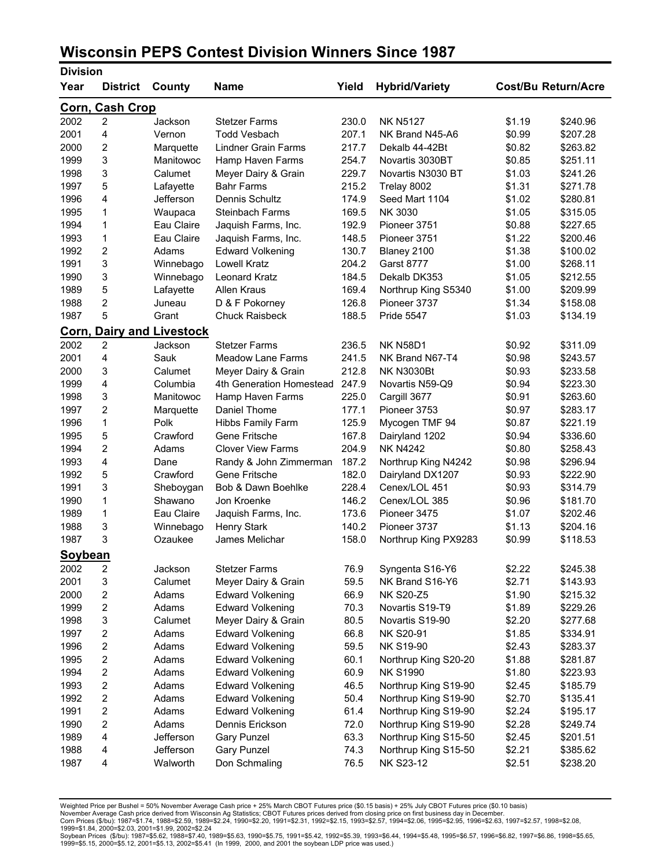### **Wisconsin PEPS Contest Division Winners Since 1987**

| <b>Division</b> |                         |                                  |                            |       |                                    |        |                            |
|-----------------|-------------------------|----------------------------------|----------------------------|-------|------------------------------------|--------|----------------------------|
| Year            | <b>District</b>         | County                           | <b>Name</b>                | Yield | <b>Hybrid/Variety</b>              |        | <b>Cost/Bu Return/Acre</b> |
|                 | Corn, Cash Crop         |                                  |                            |       |                                    |        |                            |
| 2002            | $\overline{2}$          | Jackson                          | <b>Stetzer Farms</b>       | 230.0 | <b>NK N5127</b>                    | \$1.19 | \$240.96                   |
| 2001            | 4                       | Vernon                           | <b>Todd Vesbach</b>        | 207.1 | NK Brand N45-A6                    | \$0.99 | \$207.28                   |
| 2000            | 2                       | Marquette                        | <b>Lindner Grain Farms</b> | 217.7 | Dekalb 44-42Bt                     | \$0.82 | \$263.82                   |
| 1999            | 3                       | Manitowoc                        | Hamp Haven Farms           | 254.7 | Novartis 3030BT                    | \$0.85 | \$251.11                   |
| 1998            | 3                       | Calumet                          | Meyer Dairy & Grain        | 229.7 | Novartis N3030 BT                  | \$1.03 | \$241.26                   |
| 1997            | 5                       | Lafayette                        | <b>Bahr Farms</b>          | 215.2 | Trelay 8002                        | \$1.31 | \$271.78                   |
| 1996            | 4                       | Jefferson                        | Dennis Schultz             | 174.9 | Seed Mart 1104                     | \$1.02 | \$280.81                   |
| 1995            | 1                       | Waupaca                          | <b>Steinbach Farms</b>     | 169.5 | NK 3030                            | \$1.05 | \$315.05                   |
| 1994            | 1                       | Eau Claire                       | Jaquish Farms, Inc.        | 192.9 | Pioneer 3751                       | \$0.88 | \$227.65                   |
| 1993            | 1                       | Eau Claire                       | Jaquish Farms, Inc.        | 148.5 | Pioneer 3751                       | \$1.22 | \$200.46                   |
| 1992            | $\overline{c}$          | Adams                            | <b>Edward Volkening</b>    | 130.7 | Blaney 2100                        | \$1.38 | \$100.02                   |
| 1991            | 3                       | Winnebago                        | Lowell Kratz               | 204.2 | <b>Garst 8777</b>                  | \$1.00 | \$268.11                   |
| 1990            | 3                       | Winnebago                        | Leonard Kratz              | 184.5 | Dekalb DK353                       | \$1.05 | \$212.55                   |
| 1989            | 5                       | Lafayette                        | Allen Kraus                | 169.4 | Northrup King S5340                | \$1.00 | \$209.99                   |
| 1988            | $\overline{2}$          | Juneau                           | D & F Pokorney             | 126.8 | Pioneer 3737                       | \$1.34 | \$158.08                   |
| 1987            | 5                       | Grant                            | <b>Chuck Raisbeck</b>      | 188.5 | <b>Pride 5547</b>                  | \$1.03 | \$134.19                   |
|                 |                         | <b>Corn, Dairy and Livestock</b> |                            |       |                                    |        |                            |
| 2002            | $\overline{2}$          | Jackson                          | <b>Stetzer Farms</b>       | 236.5 | <b>NK N58D1</b>                    | \$0.92 | \$311.09                   |
| 2001            | 4                       | Sauk                             | <b>Meadow Lane Farms</b>   | 241.5 | NK Brand N67-T4                    | \$0.98 | \$243.57                   |
| 2000            | 3                       | Calumet                          | Meyer Dairy & Grain        | 212.8 | <b>NK N3030Bt</b>                  | \$0.93 | \$233.58                   |
| 1999            | 4                       | Columbia                         | 4th Generation Homestead   | 247.9 | Novartis N59-Q9                    | \$0.94 | \$223.30                   |
| 1998            | 3                       | Manitowoc                        | Hamp Haven Farms           | 225.0 | Cargill 3677                       | \$0.91 | \$263.60                   |
| 1997            | $\overline{2}$          | Marquette                        | Daniel Thome               | 177.1 | Pioneer 3753                       | \$0.97 | \$283.17                   |
| 1996            | 1                       | Polk                             | Hibbs Family Farm          | 125.9 | Mycogen TMF 94                     | \$0.87 | \$221.19                   |
| 1995            | 5                       | Crawford                         | Gene Fritsche              | 167.8 | Dairyland 1202                     | \$0.94 | \$336.60                   |
| 1994            | $\overline{c}$          | Adams                            | <b>Clover View Farms</b>   | 204.9 | <b>NK N4242</b>                    | \$0.80 | \$258.43                   |
| 1993            | 4                       | Dane                             | Randy & John Zimmerman     | 187.2 | Northrup King N4242                | \$0.98 | \$296.94                   |
| 1992            | 5                       | Crawford                         | Gene Fritsche              | 182.0 | Dairyland DX1207                   | \$0.93 | \$222.90                   |
| 1991            | 3                       | Sheboygan                        | Bob & Dawn Boehlke         | 228.4 | Cenex/LOL 451                      | \$0.93 | \$314.79                   |
| 1990            | 1                       | Shawano                          | Jon Kroenke                | 146.2 | Cenex/LOL 385                      | \$0.96 | \$181.70                   |
| 1989            | 1                       | Eau Claire                       | Jaquish Farms, Inc.        | 173.6 | Pioneer 3475                       | \$1.07 | \$202.46                   |
| 1988            | 3                       | Winnebago                        | <b>Henry Stark</b>         | 140.2 | Pioneer 3737                       | \$1.13 | \$204.16                   |
| 1987            | 3                       | Ozaukee                          | James Melichar             | 158.0 |                                    | \$0.99 | \$118.53                   |
|                 |                         |                                  |                            |       | Northrup King PX9283               |        |                            |
| Soybean<br>2002 | 2                       | Jackson                          | <b>Stetzer Farms</b>       | 76.9  | Syngenta S16-Y6                    | \$2.22 | \$245.38                   |
| 2001            | 3                       | Calumet                          | Meyer Dairy & Grain        | 59.5  | NK Brand S16-Y6                    | \$2.71 |                            |
| 2000            | 2                       | Adams                            | <b>Edward Volkening</b>    | 66.9  | <b>NK S20-Z5</b>                   | \$1.90 | \$143.93                   |
|                 |                         |                                  |                            |       |                                    |        | \$215.32                   |
| 1999            | $\overline{\mathbf{c}}$ | Adams                            | <b>Edward Volkening</b>    | 70.3  | Novartis S19-T9<br>Novartis S19-90 | \$1.89 | \$229.26                   |
| 1998            | 3                       | Calumet                          | Meyer Dairy & Grain        | 80.5  |                                    | \$2.20 | \$277.68                   |
| 1997            | $\overline{\mathbf{c}}$ | Adams                            | <b>Edward Volkening</b>    | 66.8  | <b>NK S20-91</b>                   | \$1.85 | \$334.91                   |
| 1996            | 2                       | Adams                            | <b>Edward Volkening</b>    | 59.5  | <b>NK S19-90</b>                   | \$2.43 | \$283.37                   |
| 1995            | 2                       | Adams                            | <b>Edward Volkening</b>    | 60.1  | Northrup King S20-20               | \$1.88 | \$281.87                   |
| 1994            | $\overline{\mathbf{c}}$ | Adams                            | <b>Edward Volkening</b>    | 60.9  | <b>NK S1990</b>                    | \$1.80 | \$223.93                   |
| 1993            | $\overline{c}$          | Adams                            | <b>Edward Volkening</b>    | 46.5  | Northrup King S19-90               | \$2.45 | \$185.79                   |
| 1992            | 2                       | Adams                            | <b>Edward Volkening</b>    | 50.4  | Northrup King S19-90               | \$2.70 | \$135.41                   |
| 1991            | 2                       | Adams                            | <b>Edward Volkening</b>    | 61.4  | Northrup King S19-90               | \$2.24 | \$195.17                   |
| 1990            | $\overline{c}$          | Adams                            | Dennis Erickson            | 72.0  | Northrup King S19-90               | \$2.28 | \$249.74                   |
| 1989            | 4                       | Jefferson                        | <b>Gary Punzel</b>         | 63.3  | Northrup King S15-50               | \$2.45 | \$201.51                   |
| 1988            | 4                       | Jefferson                        | <b>Gary Punzel</b>         | 74.3  | Northrup King S15-50               | \$2.21 | \$385.62                   |
| 1987            | 4                       | Walworth                         | Don Schmaling              | 76.5  | NK S23-12                          | \$2.51 | \$238.20                   |

Weighted Price per Bushel = 50% November Average Cash price + 25% March CBOT Futures price (\$0.15 basis) + 25% July CBOT Futures price (\$0.10 basis)<br>November Average Cash price derived from Wisconsin Ag Statistics; CBOT Fu